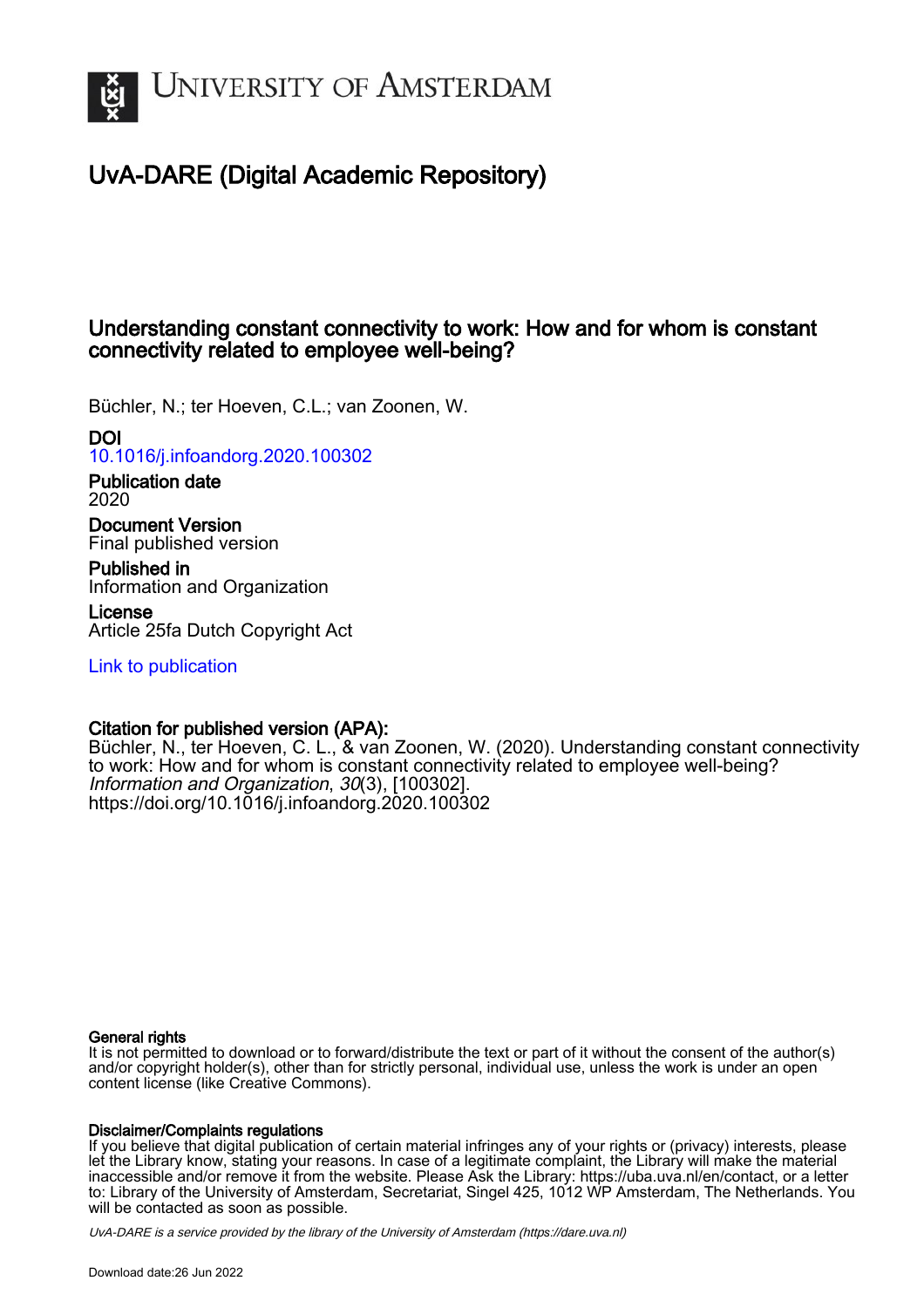

# UvA-DARE (Digital Academic Repository)

### Understanding constant connectivity to work: How and for whom is constant connectivity related to employee well-being?

Büchler, N.; ter Hoeven, C.L.; van Zoonen, W.

### DOI

[10.1016/j.infoandorg.2020.100302](https://doi.org/10.1016/j.infoandorg.2020.100302)

Publication date 2020

Document Version Final published version

Published in Information and Organization

License Article 25fa Dutch Copyright Act

[Link to publication](https://dare.uva.nl/personal/pure/en/publications/understanding-constant-connectivity-to-work-how-and-for-whom-is-constant-connectivity-related-to-employee-wellbeing(fcd8dfbd-ff56-4c5b-99fb-bb202c6a8d68).html)

### Citation for published version (APA):

Büchler, N., ter Hoeven, C. L., & van Zoonen, W. (2020). Understanding constant connectivity to work: How and for whom is constant connectivity related to employee well-being? Information and Organization, 30(3), [100302]. <https://doi.org/10.1016/j.infoandorg.2020.100302>

### General rights

It is not permitted to download or to forward/distribute the text or part of it without the consent of the author(s) and/or copyright holder(s), other than for strictly personal, individual use, unless the work is under an open content license (like Creative Commons).

### Disclaimer/Complaints regulations

If you believe that digital publication of certain material infringes any of your rights or (privacy) interests, please let the Library know, stating your reasons. In case of a legitimate complaint, the Library will make the material inaccessible and/or remove it from the website. Please Ask the Library: https://uba.uva.nl/en/contact, or a letter to: Library of the University of Amsterdam, Secretariat, Singel 425, 1012 WP Amsterdam, The Netherlands. You will be contacted as soon as possible.

UvA-DARE is a service provided by the library of the University of Amsterdam (http*s*://dare.uva.nl)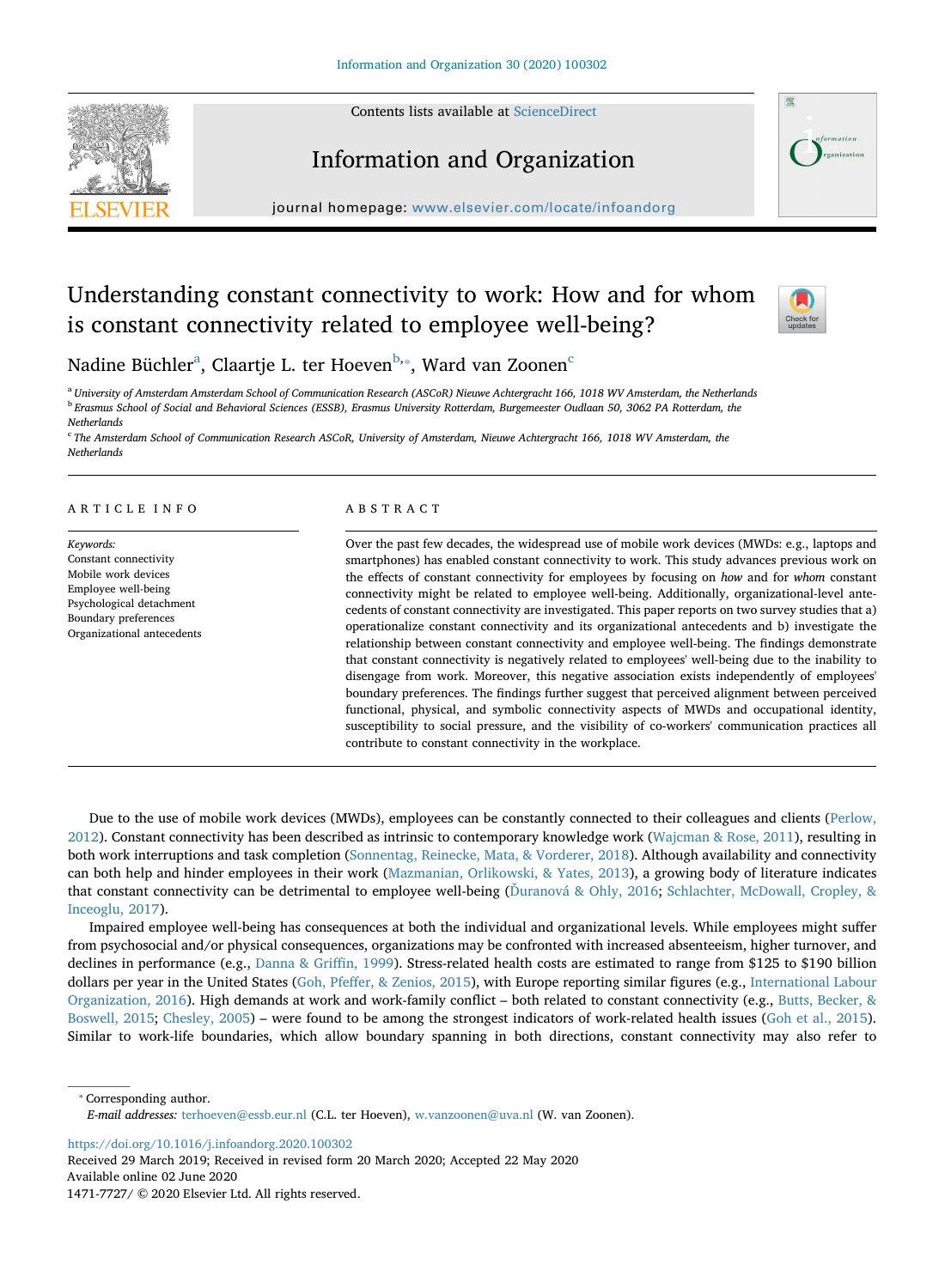Contents lists available at [ScienceDirect](http://www.sciencedirect.com/science/journal/14717727)





## Information and Organization

journal homepage: [www.elsevier.com/locate/infoandorg](https://www.elsevier.com/locate/infoandorg)

# Understanding constant connectivity to work: How and for whom is constant connectivity related to employee well-being?



N[a](#page-1-0)dine Büchler $\mathrm{^a}\mathrm{,}$  Claartje L. ter Hoeven $\mathrm{^{b, *}}\mathrm{,}$  Ward van Zoonen $\mathrm{^c}\mathrm{.}$ 

<span id="page-1-1"></span><span id="page-1-0"></span><sup>a</sup> *University of Amsterdam Amsterdam School of Communication Research (ASCoR) Nieuwe Achtergracht 166, 1018 WV Amsterdam, the Netherlands* <sup>b</sup> *Erasmus School of Social and Behavioral Sciences (ESSB), Erasmus University Rotterdam, Burgemeester Oudlaan 50, 3062 PA Rotterdam, the Netherlands*

<span id="page-1-3"></span><sup>c</sup> *The Amsterdam School of Communication Research ASCoR, University of Amsterdam, Nieuwe Achtergracht 166, 1018 WV Amsterdam, the Netherlands*

#### ARTICLE INFO

*Keywords:* Constant connectivity Mobile work devices Employee well-being Psychological detachment Boundary preferences Organizational antecedents

#### ABSTRACT

Over the past few decades, the widespread use of mobile work devices (MWDs: e.g., laptops and smartphones) has enabled constant connectivity to work. This study advances previous work on the effects of constant connectivity for employees by focusing on *how* and for *whom* constant connectivity might be related to employee well-being. Additionally, organizational-level antecedents of constant connectivity are investigated. This paper reports on two survey studies that a) operationalize constant connectivity and its organizational antecedents and b) investigate the relationship between constant connectivity and employee well-being. The findings demonstrate that constant connectivity is negatively related to employees' well-being due to the inability to disengage from work. Moreover, this negative association exists independently of employees' boundary preferences. The findings further suggest that perceived alignment between perceived functional, physical, and symbolic connectivity aspects of MWDs and occupational identity, susceptibility to social pressure, and the visibility of co-workers' communication practices all contribute to constant connectivity in the workplace.

Due to the use of mobile work devices (MWDs), employees can be constantly connected to their colleagues and clients [\(Perlow,](#page-13-0) [2012\)](#page-13-0). Constant connectivity has been described as intrinsic to contemporary knowledge work [\(Wajcman & Rose, 2011\)](#page-14-0), resulting in both work interruptions and task completion ([Sonnentag, Reinecke, Mata, & Vorderer, 2018\)](#page-14-1). Although availability and connectivity can both help and hinder employees in their work ([Mazmanian, Orlikowski, & Yates, 2013\)](#page-13-1), a growing body of literature indicates that constant connectivity can be detrimental to employee well-being ([Ďuranová & Ohly, 2016;](#page-13-2) [Schlachter, McDowall, Cropley, &](#page-14-2) [Inceoglu, 2017\)](#page-14-2).

Impaired employee well-being has consequences at both the individual and organizational levels. While employees might suffer from psychosocial and/or physical consequences, organizations may be confronted with increased absenteeism, higher turnover, and declines in performance (e.g., [Danna & Griffin, 1999\)](#page-13-3). Stress-related health costs are estimated to range from \$125 to \$190 billion dollars per year in the United States [\(Goh, Pfeffer, & Zenios, 2015](#page-13-4)), with Europe reporting similar figures (e.g., [International Labour](#page-13-5) [Organization, 2016](#page-13-5)). High demands at work and work-family conflict – both related to constant connectivity (e.g., [Butts, Becker, &](#page-13-6) [Boswell, 2015](#page-13-6); [Chesley, 2005](#page-13-7)) – were found to be among the strongest indicators of work-related health issues ([Goh et al., 2015](#page-13-4)). Similar to work-life boundaries, which allow boundary spanning in both directions, constant connectivity may also refer to

<span id="page-1-2"></span>⁎ Corresponding author. *E-mail addresses:* [terhoeven@essb.eur.nl](mailto:terhoeven@essb.eur.nl) (C.L. ter Hoeven), [w.vanzoonen@uva.nl](mailto:w.vanzoonen@uva.nl) (W. van Zoonen).

<https://doi.org/10.1016/j.infoandorg.2020.100302>

Received 29 March 2019; Received in revised form 20 March 2020; Accepted 22 May 2020 Available online 02 June 2020

<sup>1471-7727/ © 2020</sup> Elsevier Ltd. All rights reserved.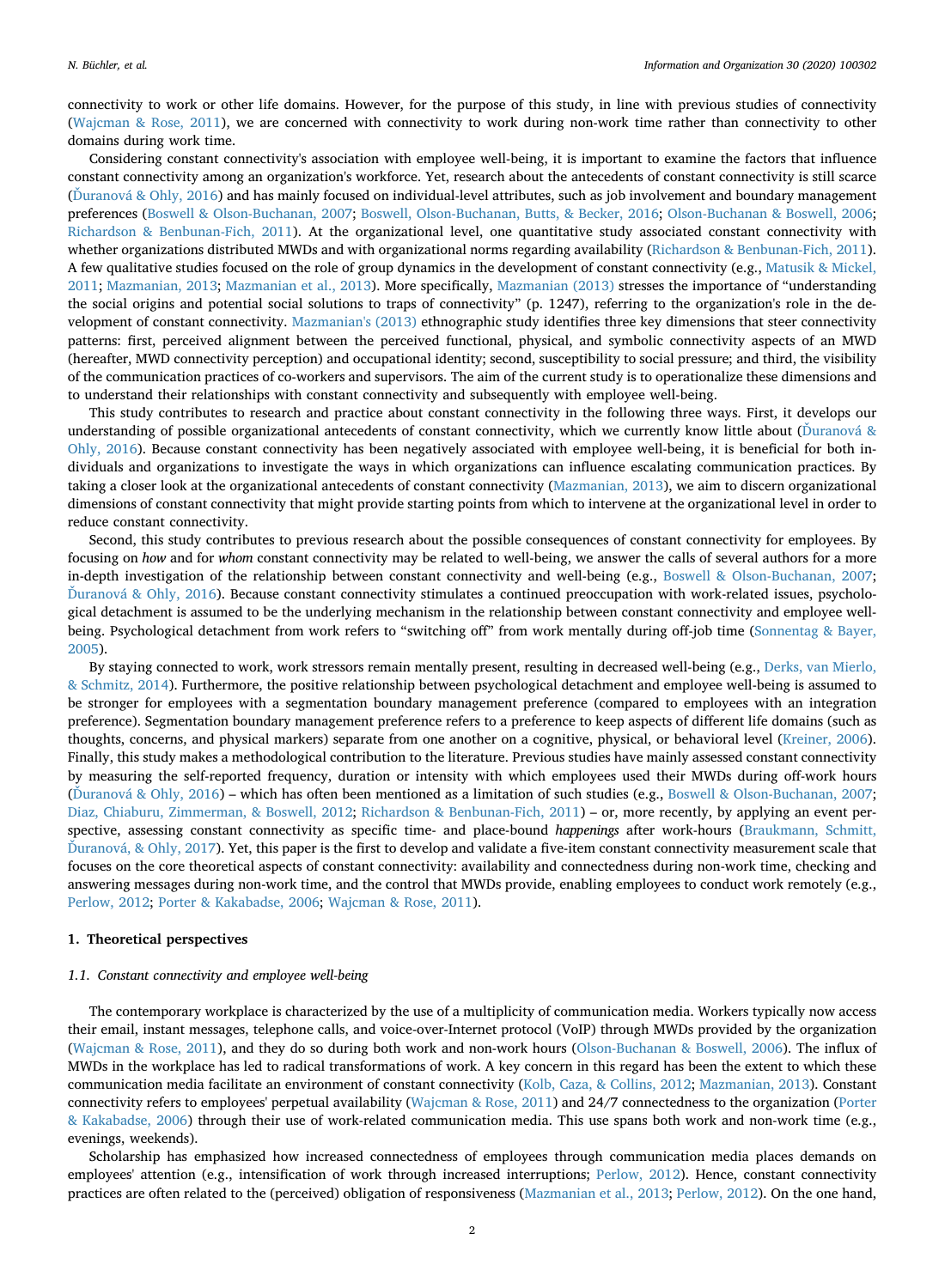connectivity to work or other life domains. However, for the purpose of this study, in line with previous studies of connectivity [\(Wajcman & Rose, 2011](#page-14-0)), we are concerned with connectivity to work during non-work time rather than connectivity to other domains during work time.

Considering constant connectivity's association with employee well-being, it is important to examine the factors that influence constant connectivity among an organization's workforce. Yet, research about the antecedents of constant connectivity is still scarce [\(Ďuranová & Ohly, 2016\)](#page-13-2) and has mainly focused on individual-level attributes, such as job involvement and boundary management preferences ([Boswell & Olson-Buchanan, 2007](#page-13-8); [Boswell, Olson-Buchanan, Butts, & Becker, 2016;](#page-13-9) [Olson-Buchanan & Boswell, 2006](#page-13-10); [Richardson & Benbunan-Fich, 2011\)](#page-14-3). At the organizational level, one quantitative study associated constant connectivity with whether organizations distributed MWDs and with organizational norms regarding availability ([Richardson & Benbunan-Fich, 2011](#page-14-3)). A few qualitative studies focused on the role of group dynamics in the development of constant connectivity (e.g., [Matusik & Mickel,](#page-13-11) [2011;](#page-13-11) [Mazmanian, 2013](#page-13-12); [Mazmanian et al., 2013\)](#page-13-1). More specifically, [Mazmanian \(2013\)](#page-13-12) stresses the importance of "understanding the social origins and potential social solutions to traps of connectivity" (p. 1247), referring to the organization's role in the development of constant connectivity. [Mazmanian's \(2013\)](#page-13-12) ethnographic study identifies three key dimensions that steer connectivity patterns: first, perceived alignment between the perceived functional, physical, and symbolic connectivity aspects of an MWD (hereafter, MWD connectivity perception) and occupational identity; second, susceptibility to social pressure; and third, the visibility of the communication practices of co-workers and supervisors. The aim of the current study is to operationalize these dimensions and to understand their relationships with constant connectivity and subsequently with employee well-being.

This study contributes to research and practice about constant connectivity in the following three ways. First, it develops our understanding of possible organizational antecedents of constant connectivity, which we currently know little about (Duranová & [Ohly, 2016](#page-13-2)). Because constant connectivity has been negatively associated with employee well-being, it is beneficial for both individuals and organizations to investigate the ways in which organizations can influence escalating communication practices. By taking a closer look at the organizational antecedents of constant connectivity ([Mazmanian, 2013](#page-13-12)), we aim to discern organizational dimensions of constant connectivity that might provide starting points from which to intervene at the organizational level in order to reduce constant connectivity.

Second, this study contributes to previous research about the possible consequences of constant connectivity for employees. By focusing on *how* and for *whom* constant connectivity may be related to well-being, we answer the calls of several authors for a more in-depth investigation of the relationship between constant connectivity and well-being (e.g., [Boswell & Olson-Buchanan, 2007](#page-13-8); [Ďuranová & Ohly, 2016\)](#page-13-2). Because constant connectivity stimulates a continued preoccupation with work-related issues, psychological detachment is assumed to be the underlying mechanism in the relationship between constant connectivity and employee wellbeing. Psychological detachment from work refers to "switching off" from work mentally during off-job time ([Sonnentag & Bayer,](#page-14-4) [2005\)](#page-14-4).

By staying connected to work, work stressors remain mentally present, resulting in decreased well-being (e.g., [Derks, van Mierlo,](#page-13-13) [& Schmitz, 2014](#page-13-13)). Furthermore, the positive relationship between psychological detachment and employee well-being is assumed to be stronger for employees with a segmentation boundary management preference (compared to employees with an integration preference). Segmentation boundary management preference refers to a preference to keep aspects of different life domains (such as thoughts, concerns, and physical markers) separate from one another on a cognitive, physical, or behavioral level [\(Kreiner, 2006](#page-13-14)). Finally, this study makes a methodological contribution to the literature. Previous studies have mainly assessed constant connectivity by measuring the self-reported frequency, duration or intensity with which employees used their MWDs during off-work hours [\(Ďuranová & Ohly, 2016\)](#page-13-2) – which has often been mentioned as a limitation of such studies (e.g., [Boswell & Olson-Buchanan, 2007](#page-13-8); [Diaz, Chiaburu, Zimmerman, & Boswell, 2012](#page-13-15); [Richardson & Benbunan-Fich, 2011](#page-14-3)) – or, more recently, by applying an event perspective, assessing constant connectivity as specific time- and place-bound *happenings* after work-hours ([Braukmann, Schmitt,](#page-13-16) [Ďuranová, & Ohly, 2017](#page-13-16)). Yet, this paper is the first to develop and validate a five-item constant connectivity measurement scale that focuses on the core theoretical aspects of constant connectivity: availability and connectedness during non-work time, checking and answering messages during non-work time, and the control that MWDs provide, enabling employees to conduct work remotely (e.g., [Perlow, 2012](#page-13-0); [Porter & Kakabadse, 2006](#page-13-17); [Wajcman & Rose, 2011](#page-14-0)).

#### **1. Theoretical perspectives**

#### *1.1. Constant connectivity and employee well-being*

The contemporary workplace is characterized by the use of a multiplicity of communication media. Workers typically now access their email, instant messages, telephone calls, and voice-over-Internet protocol (VoIP) through MWDs provided by the organization [\(Wajcman & Rose, 2011](#page-14-0)), and they do so during both work and non-work hours [\(Olson-Buchanan & Boswell, 2006](#page-13-10)). The influx of MWDs in the workplace has led to radical transformations of work. A key concern in this regard has been the extent to which these communication media facilitate an environment of constant connectivity ([Kolb, Caza, & Collins, 2012](#page-13-18); [Mazmanian, 2013\)](#page-13-12). Constant connectivity refers to employees' perpetual availability ([Wajcman & Rose, 2011\)](#page-14-0) and 24/7 connectedness to the organization [\(Porter](#page-13-17) [& Kakabadse, 2006](#page-13-17)) through their use of work-related communication media. This use spans both work and non-work time (e.g., evenings, weekends).

Scholarship has emphasized how increased connectedness of employees through communication media places demands on employees' attention (e.g., intensification of work through increased interruptions; [Perlow, 2012](#page-13-0)). Hence, constant connectivity practices are often related to the (perceived) obligation of responsiveness [\(Mazmanian et al., 2013](#page-13-1); [Perlow, 2012\)](#page-13-0). On the one hand,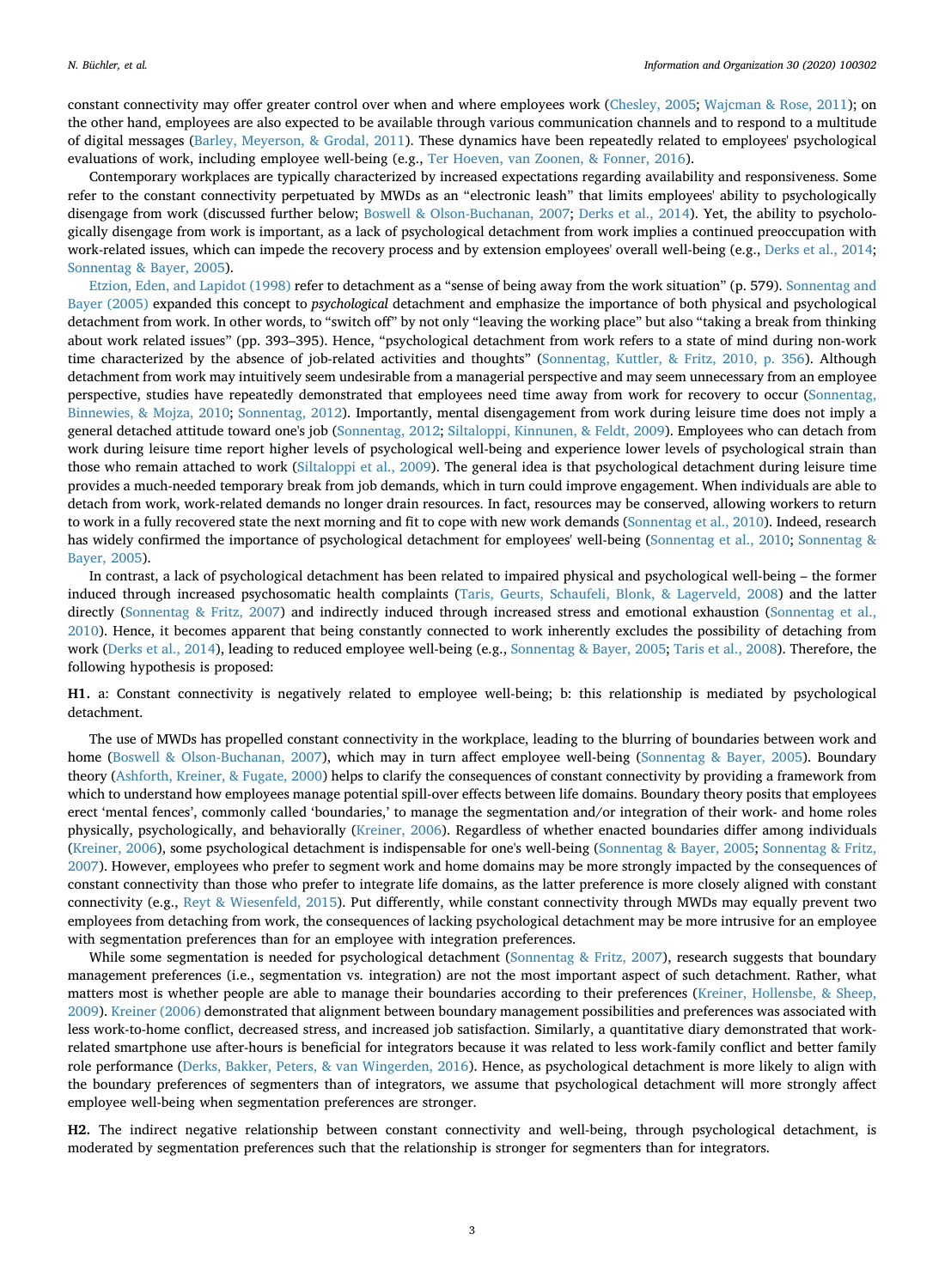constant connectivity may offer greater control over when and where employees work [\(Chesley, 2005](#page-13-7); [Wajcman & Rose, 2011\)](#page-14-0); on the other hand, employees are also expected to be available through various communication channels and to respond to a multitude of digital messages ([Barley, Meyerson, & Grodal, 2011\)](#page-13-19). These dynamics have been repeatedly related to employees' psychological evaluations of work, including employee well-being (e.g., [Ter Hoeven, van Zoonen, & Fonner, 2016](#page-14-5)).

Contemporary workplaces are typically characterized by increased expectations regarding availability and responsiveness. Some refer to the constant connectivity perpetuated by MWDs as an "electronic leash" that limits employees' ability to psychologically disengage from work (discussed further below; [Boswell & Olson-Buchanan, 2007;](#page-13-8) [Derks et al., 2014\)](#page-13-13). Yet, the ability to psychologically disengage from work is important, as a lack of psychological detachment from work implies a continued preoccupation with work-related issues, which can impede the recovery process and by extension employees' overall well-being (e.g., [Derks et al., 2014](#page-13-13); [Sonnentag & Bayer, 2005\)](#page-14-4).

[Etzion, Eden, and Lapidot \(1998\)](#page-13-20) refer to detachment as a "sense of being away from the work situation" (p. 579). [Sonnentag and](#page-14-4) [Bayer \(2005\)](#page-14-4) expanded this concept to *psychological* detachment and emphasize the importance of both physical and psychological detachment from work. In other words, to "switch off" by not only "leaving the working place" but also "taking a break from thinking about work related issues" (pp. 393–395). Hence, "psychological detachment from work refers to a state of mind during non-work time characterized by the absence of job-related activities and thoughts" [\(Sonnentag, Kuttler, & Fritz, 2010, p. 356\)](#page-14-6). Although detachment from work may intuitively seem undesirable from a managerial perspective and may seem unnecessary from an employee perspective, studies have repeatedly demonstrated that employees need time away from work for recovery to occur [\(Sonnentag,](#page-14-7) [Binnewies, & Mojza, 2010](#page-14-7); [Sonnentag, 2012](#page-14-8)). Importantly, mental disengagement from work during leisure time does not imply a general detached attitude toward one's job [\(Sonnentag, 2012;](#page-14-8) [Siltaloppi, Kinnunen, & Feldt, 2009](#page-14-9)). Employees who can detach from work during leisure time report higher levels of psychological well-being and experience lower levels of psychological strain than those who remain attached to work [\(Siltaloppi et al., 2009](#page-14-9)). The general idea is that psychological detachment during leisure time provides a much-needed temporary break from job demands, which in turn could improve engagement. When individuals are able to detach from work, work-related demands no longer drain resources. In fact, resources may be conserved, allowing workers to return to work in a fully recovered state the next morning and fit to cope with new work demands ([Sonnentag et al., 2010](#page-14-7)). Indeed, research has widely confirmed the importance of psychological detachment for employees' well-being [\(Sonnentag et al., 2010](#page-14-7); [Sonnentag &](#page-14-4) [Bayer, 2005\)](#page-14-4).

In contrast, a lack of psychological detachment has been related to impaired physical and psychological well-being – the former induced through increased psychosomatic health complaints ([Taris, Geurts, Schaufeli, Blonk, & Lagerveld, 2008](#page-14-10)) and the latter directly [\(Sonnentag & Fritz, 2007](#page-14-11)) and indirectly induced through increased stress and emotional exhaustion [\(Sonnentag et al.,](#page-14-7) [2010\)](#page-14-7). Hence, it becomes apparent that being constantly connected to work inherently excludes the possibility of detaching from work [\(Derks et al., 2014](#page-13-13)), leading to reduced employee well-being (e.g., [Sonnentag & Bayer, 2005;](#page-14-4) [Taris et al., 2008\)](#page-14-10). Therefore, the following hypothesis is proposed:

**H1.** a: Constant connectivity is negatively related to employee well-being; b: this relationship is mediated by psychological detachment.

The use of MWDs has propelled constant connectivity in the workplace, leading to the blurring of boundaries between work and home ([Boswell & Olson-Buchanan, 2007\)](#page-13-8), which may in turn affect employee well-being ([Sonnentag & Bayer, 2005\)](#page-14-4). Boundary theory ([Ashforth, Kreiner, & Fugate, 2000\)](#page-12-0) helps to clarify the consequences of constant connectivity by providing a framework from which to understand how employees manage potential spill-over effects between life domains. Boundary theory posits that employees erect 'mental fences', commonly called 'boundaries,' to manage the segmentation and/or integration of their work- and home roles physically, psychologically, and behaviorally [\(Kreiner, 2006\)](#page-13-14). Regardless of whether enacted boundaries differ among individuals [\(Kreiner, 2006\)](#page-13-14), some psychological detachment is indispensable for one's well-being [\(Sonnentag & Bayer, 2005;](#page-14-4) [Sonnentag & Fritz,](#page-14-11) [2007\)](#page-14-11). However, employees who prefer to segment work and home domains may be more strongly impacted by the consequences of constant connectivity than those who prefer to integrate life domains, as the latter preference is more closely aligned with constant connectivity (e.g., [Reyt & Wiesenfeld, 2015](#page-13-21)). Put differently, while constant connectivity through MWDs may equally prevent two employees from detaching from work, the consequences of lacking psychological detachment may be more intrusive for an employee with segmentation preferences than for an employee with integration preferences.

While some segmentation is needed for psychological detachment [\(Sonnentag & Fritz, 2007\)](#page-14-11), research suggests that boundary management preferences (i.e., segmentation vs. integration) are not the most important aspect of such detachment. Rather, what matters most is whether people are able to manage their boundaries according to their preferences [\(Kreiner, Hollensbe, & Sheep,](#page-13-22) [2009\)](#page-13-22). [Kreiner \(2006\)](#page-13-14) demonstrated that alignment between boundary management possibilities and preferences was associated with less work-to-home conflict, decreased stress, and increased job satisfaction. Similarly, a quantitative diary demonstrated that workrelated smartphone use after-hours is beneficial for integrators because it was related to less work-family conflict and better family role performance [\(Derks, Bakker, Peters, & van Wingerden, 2016](#page-13-23)). Hence, as psychological detachment is more likely to align with the boundary preferences of segmenters than of integrators, we assume that psychological detachment will more strongly affect employee well-being when segmentation preferences are stronger.

**H2.** The indirect negative relationship between constant connectivity and well-being, through psychological detachment, is moderated by segmentation preferences such that the relationship is stronger for segmenters than for integrators.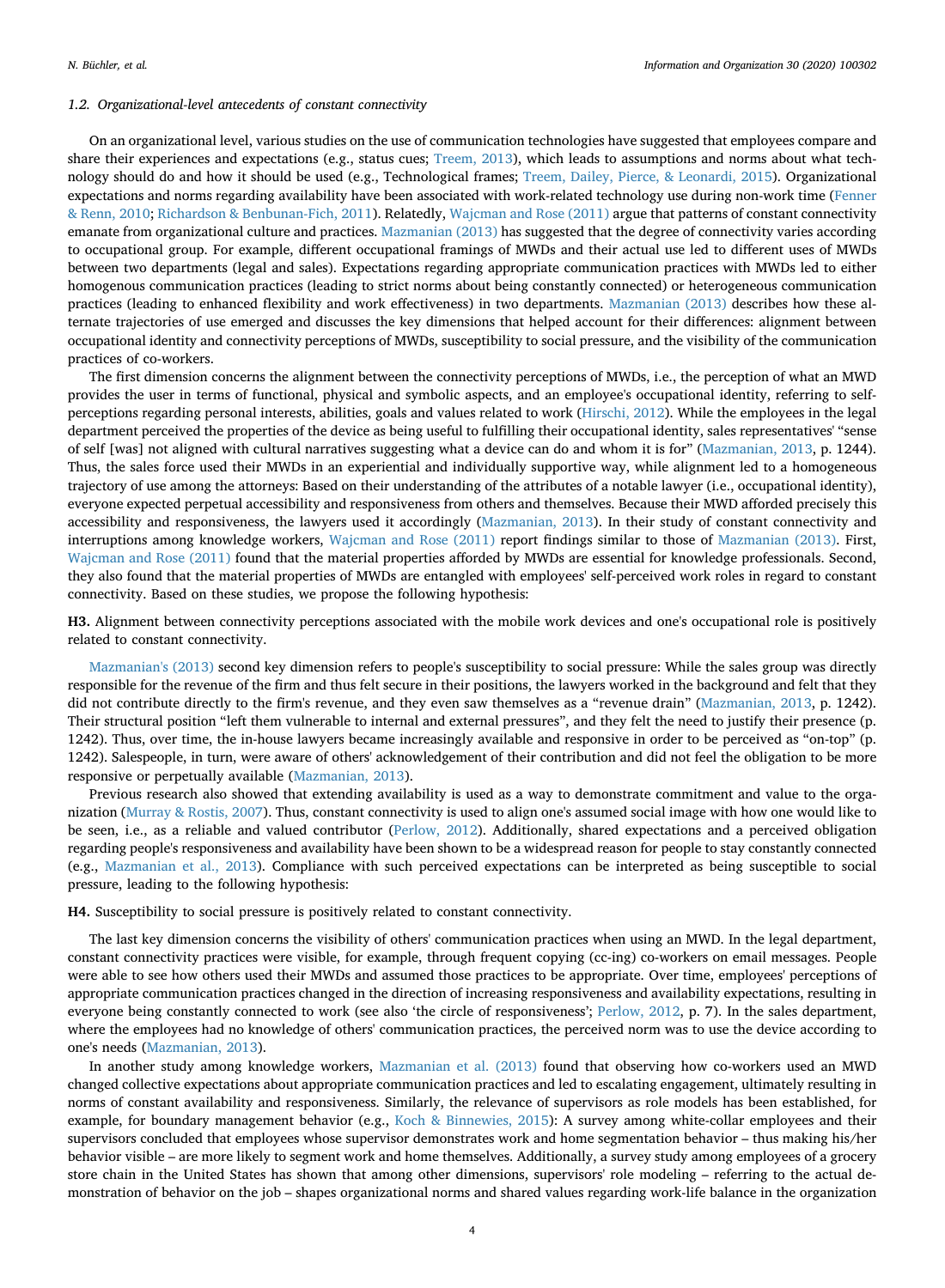#### *1.2. Organizational-level antecedents of constant connectivity*

On an organizational level, various studies on the use of communication technologies have suggested that employees compare and share their experiences and expectations (e.g., status cues; [Treem, 2013\)](#page-14-12), which leads to assumptions and norms about what technology should do and how it should be used (e.g., Technological frames; [Treem, Dailey, Pierce, & Leonardi, 2015](#page-14-13)). Organizational expectations and norms regarding availability have been associated with work-related technology use during non-work time ([Fenner](#page-13-24) [& Renn, 2010;](#page-13-24) [Richardson & Benbunan-Fich, 2011\)](#page-14-3). Relatedly, [Wajcman and Rose \(2011\)](#page-14-0) argue that patterns of constant connectivity emanate from organizational culture and practices. [Mazmanian \(2013\)](#page-13-12) has suggested that the degree of connectivity varies according to occupational group. For example, different occupational framings of MWDs and their actual use led to different uses of MWDs between two departments (legal and sales). Expectations regarding appropriate communication practices with MWDs led to either homogenous communication practices (leading to strict norms about being constantly connected) or heterogeneous communication practices (leading to enhanced flexibility and work effectiveness) in two departments. [Mazmanian \(2013\)](#page-13-12) describes how these alternate trajectories of use emerged and discusses the key dimensions that helped account for their differences: alignment between occupational identity and connectivity perceptions of MWDs, susceptibility to social pressure, and the visibility of the communication practices of co-workers.

The first dimension concerns the alignment between the connectivity perceptions of MWDs, i.e., the perception of what an MWD provides the user in terms of functional, physical and symbolic aspects, and an employee's occupational identity, referring to selfperceptions regarding personal interests, abilities, goals and values related to work [\(Hirschi, 2012](#page-13-25)). While the employees in the legal department perceived the properties of the device as being useful to fulfilling their occupational identity, sales representatives' "sense of self [was] not aligned with cultural narratives suggesting what a device can do and whom it is for" ([Mazmanian, 2013](#page-13-12), p. 1244). Thus, the sales force used their MWDs in an experiential and individually supportive way, while alignment led to a homogeneous trajectory of use among the attorneys: Based on their understanding of the attributes of a notable lawyer (i.e., occupational identity), everyone expected perpetual accessibility and responsiveness from others and themselves. Because their MWD afforded precisely this accessibility and responsiveness, the lawyers used it accordingly ([Mazmanian, 2013](#page-13-12)). In their study of constant connectivity and interruptions among knowledge workers, [Wajcman and Rose \(2011\)](#page-14-0) report findings similar to those of [Mazmanian \(2013\).](#page-13-12) First, [Wajcman and Rose \(2011\)](#page-14-0) found that the material properties afforded by MWDs are essential for knowledge professionals. Second, they also found that the material properties of MWDs are entangled with employees' self-perceived work roles in regard to constant connectivity. Based on these studies, we propose the following hypothesis:

**H3.** Alignment between connectivity perceptions associated with the mobile work devices and one's occupational role is positively related to constant connectivity.

[Mazmanian's \(2013\)](#page-13-12) second key dimension refers to people's susceptibility to social pressure: While the sales group was directly responsible for the revenue of the firm and thus felt secure in their positions, the lawyers worked in the background and felt that they did not contribute directly to the firm's revenue, and they even saw themselves as a "revenue drain" ([Mazmanian, 2013,](#page-13-12) p. 1242). Their structural position "left them vulnerable to internal and external pressures", and they felt the need to justify their presence (p. 1242). Thus, over time, the in-house lawyers became increasingly available and responsive in order to be perceived as "on-top" (p. 1242). Salespeople, in turn, were aware of others' acknowledgement of their contribution and did not feel the obligation to be more responsive or perpetually available [\(Mazmanian, 2013](#page-13-12)).

Previous research also showed that extending availability is used as a way to demonstrate commitment and value to the organization ([Murray & Rostis, 2007\)](#page-13-26). Thus, constant connectivity is used to align one's assumed social image with how one would like to be seen, i.e., as a reliable and valued contributor ([Perlow, 2012](#page-13-0)). Additionally, shared expectations and a perceived obligation regarding people's responsiveness and availability have been shown to be a widespread reason for people to stay constantly connected (e.g., [Mazmanian et al., 2013](#page-13-1)). Compliance with such perceived expectations can be interpreted as being susceptible to social pressure, leading to the following hypothesis:

**H4.** Susceptibility to social pressure is positively related to constant connectivity.

The last key dimension concerns the visibility of others' communication practices when using an MWD. In the legal department, constant connectivity practices were visible, for example, through frequent copying (cc-ing) co-workers on email messages. People were able to see how others used their MWDs and assumed those practices to be appropriate. Over time, employees' perceptions of appropriate communication practices changed in the direction of increasing responsiveness and availability expectations, resulting in everyone being constantly connected to work (see also 'the circle of responsiveness'; [Perlow, 2012](#page-13-0), p. 7). In the sales department, where the employees had no knowledge of others' communication practices, the perceived norm was to use the device according to one's needs ([Mazmanian, 2013](#page-13-12)).

In another study among knowledge workers, [Mazmanian et al. \(2013\)](#page-13-1) found that observing how co-workers used an MWD changed collective expectations about appropriate communication practices and led to escalating engagement, ultimately resulting in norms of constant availability and responsiveness. Similarly, the relevance of supervisors as role models has been established, for example, for boundary management behavior (e.g., [Koch & Binnewies, 2015](#page-13-27)): A survey among white-collar employees and their supervisors concluded that employees whose supervisor demonstrates work and home segmentation behavior – thus making his/her behavior visible – are more likely to segment work and home themselves. Additionally, a survey study among employees of a grocery store chain in the United States has shown that among other dimensions, supervisors' role modeling – referring to the actual demonstration of behavior on the job – shapes organizational norms and shared values regarding work-life balance in the organization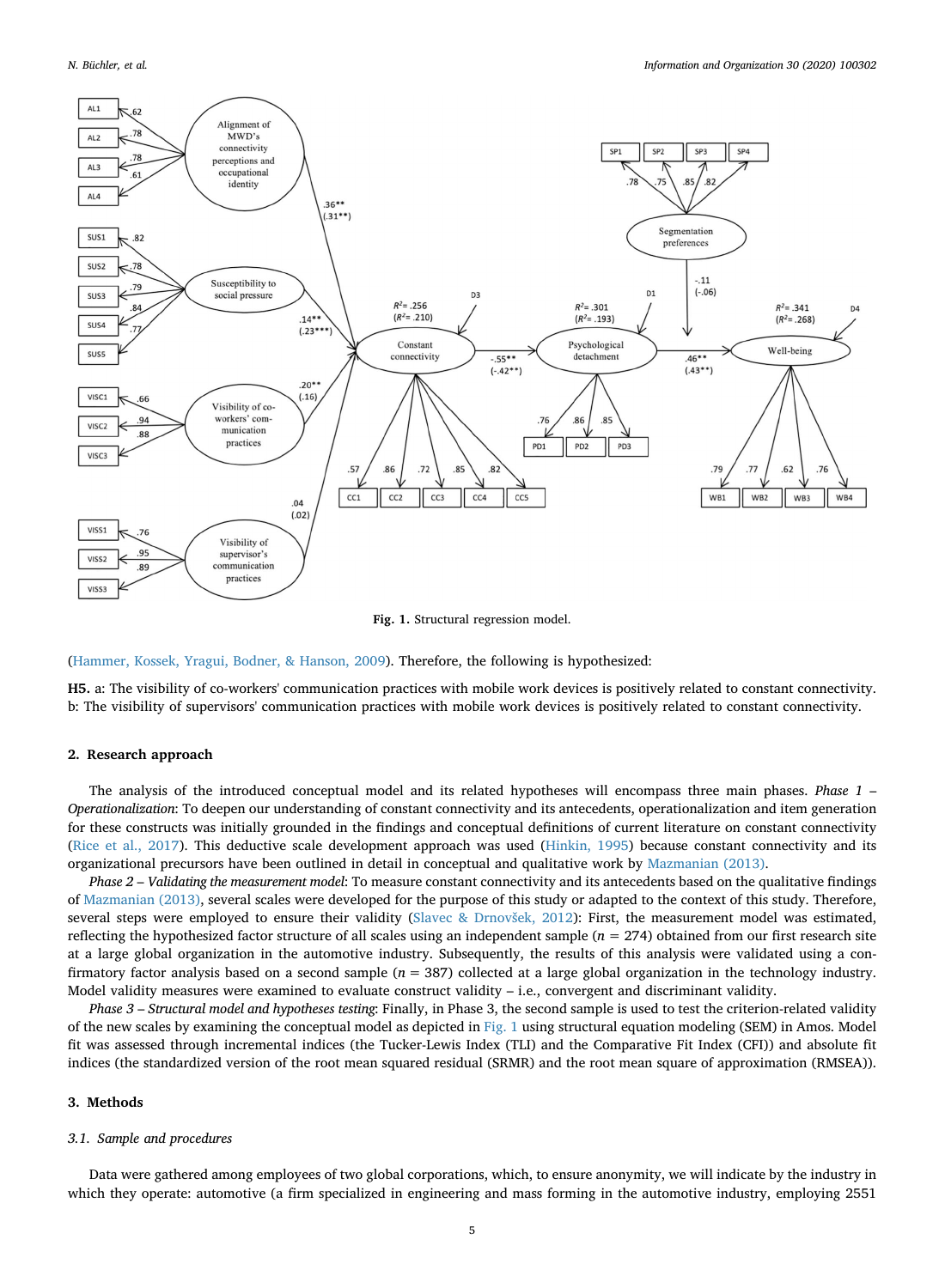<span id="page-5-0"></span>

**Fig. 1.** Structural regression model.

[\(Hammer, Kossek, Yragui, Bodner, & Hanson, 2009](#page-13-28)). Therefore, the following is hypothesized:

**H5.** a: The visibility of co-workers' communication practices with mobile work devices is positively related to constant connectivity. b: The visibility of supervisors' communication practices with mobile work devices is positively related to constant connectivity.

#### **2. Research approach**

The analysis of the introduced conceptual model and its related hypotheses will encompass three main phases. *Phase 1* – *Operationalization*: To deepen our understanding of constant connectivity and its antecedents, operationalization and item generation for these constructs was initially grounded in the findings and conceptual definitions of current literature on constant connectivity [\(Rice et al., 2017](#page-14-14)). This deductive scale development approach was used [\(Hinkin, 1995](#page-13-29)) because constant connectivity and its organizational precursors have been outlined in detail in conceptual and qualitative work by [Mazmanian \(2013\).](#page-13-12)

*Phase 2* – *Validating the measurement model*: To measure constant connectivity and its antecedents based on the qualitative findings of [Mazmanian \(2013\)](#page-13-12), several scales were developed for the purpose of this study or adapted to the context of this study. Therefore, several steps were employed to ensure their validity [\(Slavec & Drnovšek, 2012](#page-14-15)): First, the measurement model was estimated, reflecting the hypothesized factor structure of all scales using an independent sample  $(n = 274)$  obtained from our first research site at a large global organization in the automotive industry. Subsequently, the results of this analysis were validated using a confirmatory factor analysis based on a second sample (*n* = 387) collected at a large global organization in the technology industry. Model validity measures were examined to evaluate construct validity – i.e., convergent and discriminant validity.

*Phase 3* – *Structural model and hypotheses testing*: Finally, in Phase 3, the second sample is used to test the criterion-related validity of the new scales by examining the conceptual model as depicted in [Fig. 1](#page-5-0) using structural equation modeling (SEM) in Amos. Model fit was assessed through incremental indices (the Tucker-Lewis Index (TLI) and the Comparative Fit Index (CFI)) and absolute fit indices (the standardized version of the root mean squared residual (SRMR) and the root mean square of approximation (RMSEA)).

#### **3. Methods**

#### *3.1. Sample and procedures*

Data were gathered among employees of two global corporations, which, to ensure anonymity, we will indicate by the industry in which they operate: automotive (a firm specialized in engineering and mass forming in the automotive industry, employing 2551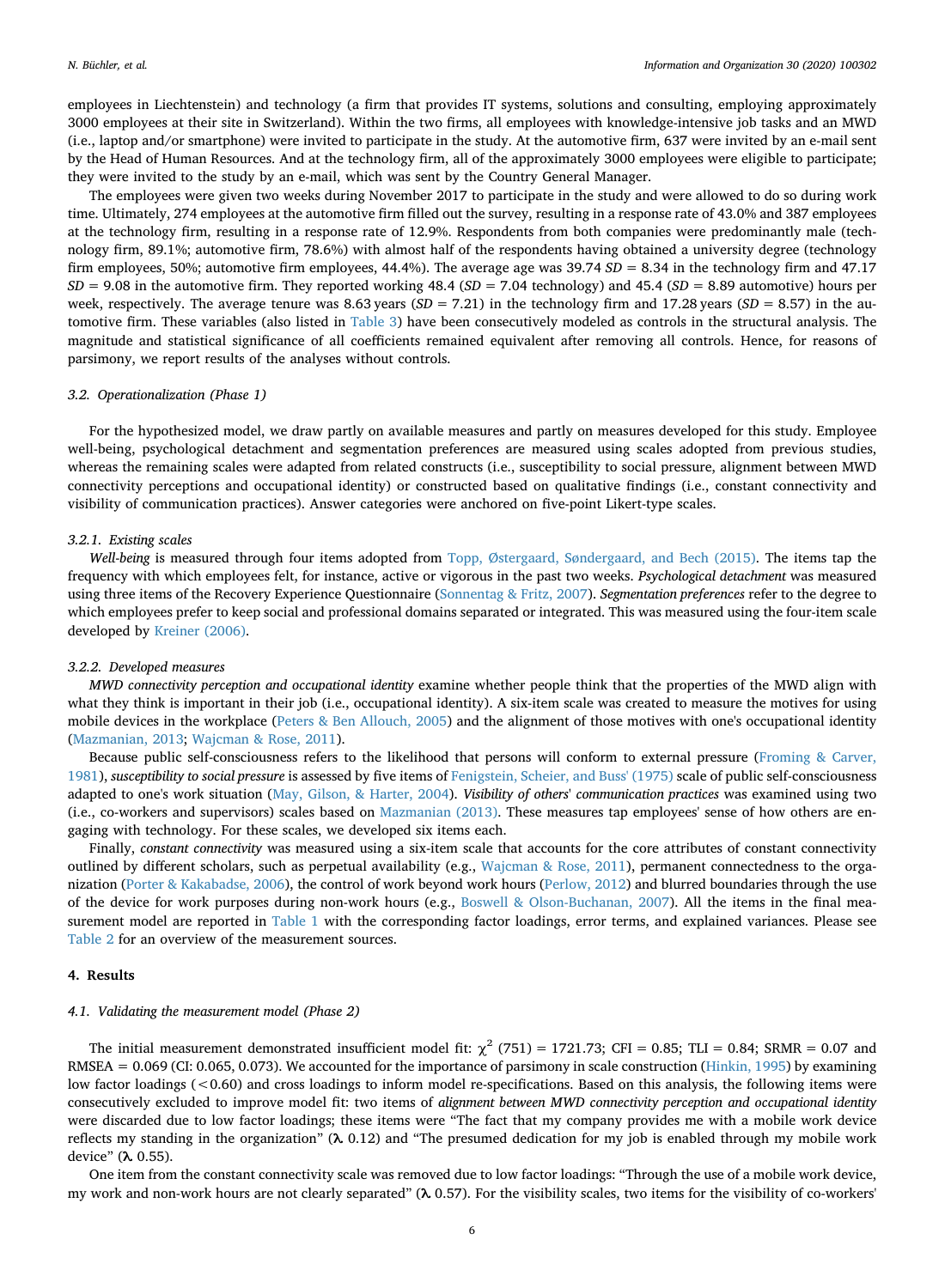employees in Liechtenstein) and technology (a firm that provides IT systems, solutions and consulting, employing approximately 3000 employees at their site in Switzerland). Within the two firms, all employees with knowledge-intensive job tasks and an MWD (i.e., laptop and/or smartphone) were invited to participate in the study. At the automotive firm, 637 were invited by an e-mail sent by the Head of Human Resources. And at the technology firm, all of the approximately 3000 employees were eligible to participate; they were invited to the study by an e-mail, which was sent by the Country General Manager.

The employees were given two weeks during November 2017 to participate in the study and were allowed to do so during work time. Ultimately, 274 employees at the automotive firm filled out the survey, resulting in a response rate of 43.0% and 387 employees at the technology firm, resulting in a response rate of 12.9%. Respondents from both companies were predominantly male (technology firm, 89.1%; automotive firm, 78.6%) with almost half of the respondents having obtained a university degree (technology firm employees, 50%; automotive firm employees, 44.4%). The average age was 39.74 *SD* = 8.34 in the technology firm and 47.17 *SD* = 9.08 in the automotive firm. They reported working 48.4 (*SD* = 7.04 technology) and 45.4 (*SD* = 8.89 automotive) hours per week, respectively. The average tenure was 8.63 years  $(SD = 7.21)$  in the technology firm and 17.28 years  $(SD = 8.57)$  in the automotive firm. These variables (also listed in [Table 3\)](#page-10-0) have been consecutively modeled as controls in the structural analysis. The magnitude and statistical significance of all coefficients remained equivalent after removing all controls. Hence, for reasons of parsimony, we report results of the analyses without controls.

#### *3.2. Operationalization (Phase 1)*

For the hypothesized model, we draw partly on available measures and partly on measures developed for this study. Employee well-being, psychological detachment and segmentation preferences are measured using scales adopted from previous studies, whereas the remaining scales were adapted from related constructs (i.e., susceptibility to social pressure, alignment between MWD connectivity perceptions and occupational identity) or constructed based on qualitative findings (i.e., constant connectivity and visibility of communication practices). Answer categories were anchored on five-point Likert-type scales.

#### *3.2.1. Existing scales*

*Well*-*being* is measured through four items adopted from [Topp, Østergaard, Søndergaard, and Bech \(2015\).](#page-14-16) The items tap the frequency with which employees felt, for instance, active or vigorous in the past two weeks. *Psychological detachment* was measured using three items of the Recovery Experience Questionnaire ([Sonnentag & Fritz, 2007\)](#page-14-11). *Segmentation preferences* refer to the degree to which employees prefer to keep social and professional domains separated or integrated. This was measured using the four-item scale developed by [Kreiner \(2006\).](#page-13-14)

#### *3.2.2. Developed measures*

*MWD connectivity perception and occupational identity* examine whether people think that the properties of the MWD align with what they think is important in their job (i.e., occupational identity). A six-item scale was created to measure the motives for using mobile devices in the workplace ([Peters & Ben Allouch, 2005\)](#page-13-30) and the alignment of those motives with one's occupational identity [\(Mazmanian, 2013;](#page-13-12) [Wajcman & Rose, 2011\)](#page-14-0).

Because public self-consciousness refers to the likelihood that persons will conform to external pressure ([Froming & Carver,](#page-13-31) [1981\)](#page-13-31), *susceptibility to social pressure* is assessed by five items of [Fenigstein, Scheier, and Buss' \(1975\)](#page-13-32) scale of public self-consciousness adapted to one's work situation [\(May, Gilson, & Harter, 2004\)](#page-13-33). *Visibility of others*' *communication practices* was examined using two (i.e., co-workers and supervisors) scales based on [Mazmanian \(2013\).](#page-13-12) These measures tap employees' sense of how others are engaging with technology. For these scales, we developed six items each.

Finally, *constant connectivity* was measured using a six-item scale that accounts for the core attributes of constant connectivity outlined by different scholars, such as perpetual availability (e.g., [Wajcman & Rose, 2011\)](#page-14-0), permanent connectedness to the organization ([Porter & Kakabadse, 2006](#page-13-17)), the control of work beyond work hours ([Perlow, 2012\)](#page-13-0) and blurred boundaries through the use of the device for work purposes during non-work hours (e.g., [Boswell & Olson-Buchanan, 2007\)](#page-13-8). All the items in the final measurement model are reported in [Table 1](#page-8-0) with the corresponding factor loadings, error terms, and explained variances. Please see [Table 2](#page-9-0) for an overview of the measurement sources.

### **4. Results**

#### *4.1. Validating the measurement model (Phase 2)*

The initial measurement demonstrated insufficient model fit:  $\chi^2$  (751) = 1721.73; CFI = 0.85; TLI = 0.84; SRMR = 0.07 and RMSEA = 0.069 (CI: 0.065, 0.073). We accounted for the importance of parsimony in scale construction ([Hinkin, 1995](#page-13-29)) by examining low factor loadings (<0.60) and cross loadings to inform model re-specifications. Based on this analysis, the following items were consecutively excluded to improve model fit: two items of *alignment between MWD connectivity perception and occupational identity* were discarded due to low factor loadings; these items were "The fact that my company provides me with a mobile work device reflects my standing in the organization" (**λ** 0.12) and "The presumed dedication for my job is enabled through my mobile work device" (**λ** 0.55).

One item from the constant connectivity scale was removed due to low factor loadings: "Through the use of a mobile work device, my work and non-work hours are not clearly separated" (**λ** 0.57). For the visibility scales, two items for the visibility of co-workers'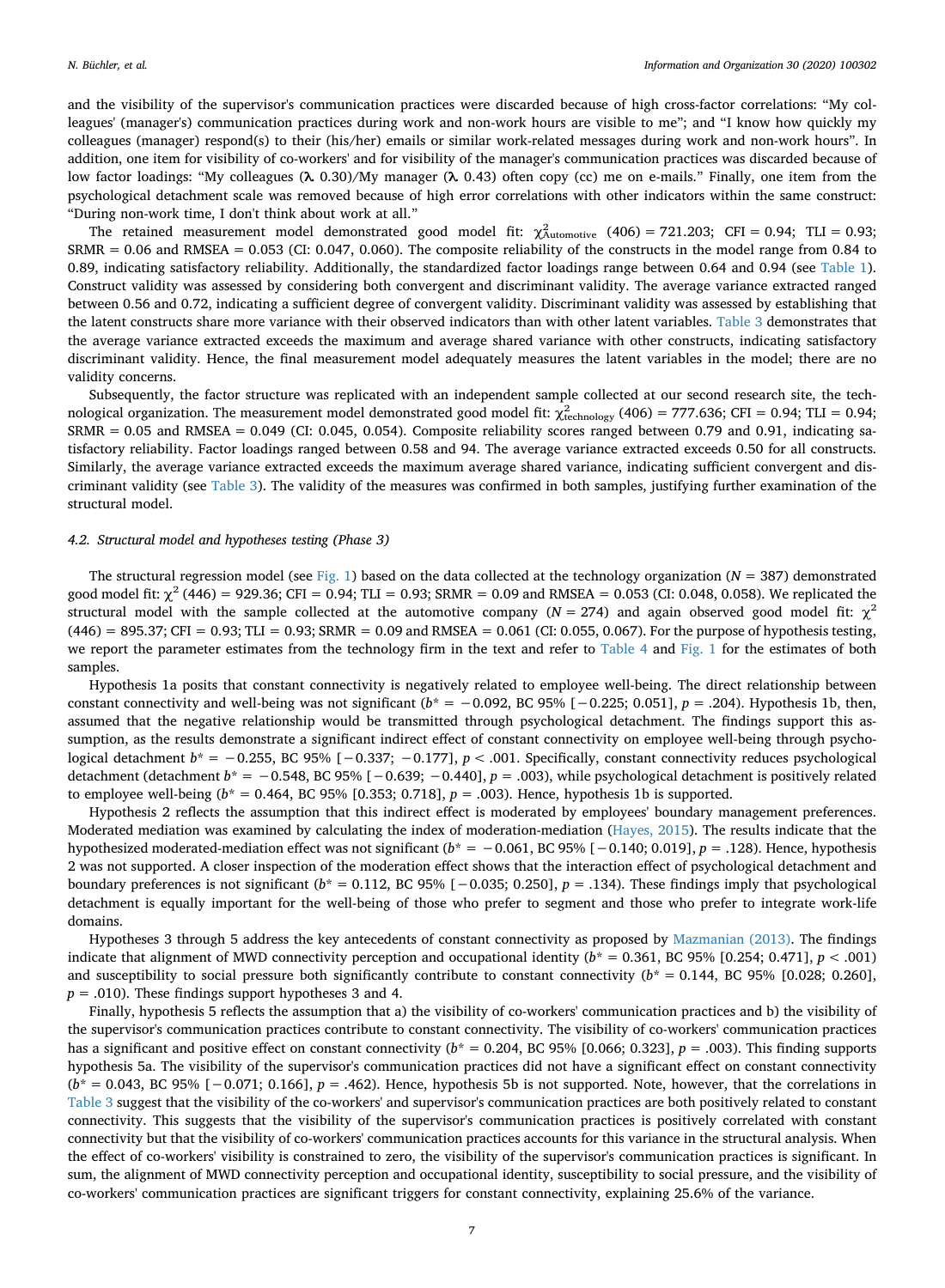and the visibility of the supervisor's communication practices were discarded because of high cross-factor correlations: "My colleagues' (manager's) communication practices during work and non-work hours are visible to me"; and "I know how quickly my colleagues (manager) respond(s) to their (his/her) emails or similar work-related messages during work and non-work hours". In addition, one item for visibility of co-workers' and for visibility of the manager's communication practices was discarded because of low factor loadings: "My colleagues (**λ** 0.30)/My manager (**λ** 0.43) often copy (cc) me on e-mails." Finally, one item from the psychological detachment scale was removed because of high error correlations with other indicators within the same construct: "During non-work time, I don't think about work at all."

The retained measurement model demonstrated good model fit:  $\chi^2_{\text{automotive}}$  (406) = 721.203; CFI = 0.94; TLI = 0.93; SRMR = 0.06 and RMSEA = 0.053 (CI: 0.047, 0.060). The composite reliability of the constructs in the model range from 0.84 to 0.89, indicating satisfactory reliability. Additionally, the standardized factor loadings range between 0.64 and 0.94 (see [Table 1\)](#page-8-0). Construct validity was assessed by considering both convergent and discriminant validity. The average variance extracted ranged between 0.56 and 0.72, indicating a sufficient degree of convergent validity. Discriminant validity was assessed by establishing that the latent constructs share more variance with their observed indicators than with other latent variables. [Table 3](#page-10-0) demonstrates that the average variance extracted exceeds the maximum and average shared variance with other constructs, indicating satisfactory discriminant validity. Hence, the final measurement model adequately measures the latent variables in the model; there are no validity concerns.

Subsequently, the factor structure was replicated with an independent sample collected at our second research site, the technological organization. The measurement model demonstrated good model fit:  $\chi^2_{\rm technology}$  (406) = 777.636; CFI = 0.94; TLI = 0.94;  $SRMR = 0.05$  and  $RMSEA = 0.049$  (CI: 0.045, 0.054). Composite reliability scores ranged between 0.79 and 0.91, indicating satisfactory reliability. Factor loadings ranged between 0.58 and 94. The average variance extracted exceeds 0.50 for all constructs. Similarly, the average variance extracted exceeds the maximum average shared variance, indicating sufficient convergent and discriminant validity (see [Table 3](#page-10-0)). The validity of the measures was confirmed in both samples, justifying further examination of the structural model.

#### *4.2. Structural model and hypotheses testing (Phase 3)*

The structural regression model (see [Fig. 1\)](#page-5-0) based on the data collected at the technology organization (*N* = 387) demonstrated good model fit:  $\chi^2$  (446) = 929.36; CFI = 0.94; TLI = 0.93; SRMR = 0.09 and RMSEA = 0.053 (CI: 0.048, 0.058). We replicated the structural model with the sample collected at the automotive company  $(N = 274)$  and again observed good model fit:  $\chi^2$  $(446) = 895.37$ ; CFI = 0.93; TLI = 0.93; SRMR = 0.09 and RMSEA = 0.061 (CI: 0.055, 0.067). For the purpose of hypothesis testing, we report the parameter estimates from the technology firm in the text and refer to [Table 4](#page-11-0) and [Fig. 1](#page-5-0) for the estimates of both samples.

Hypothesis 1a posits that constant connectivity is negatively related to employee well-being. The direct relationship between constant connectivity and well-being was not significant ( $b^* = -0.092$ , BC 95% [ $-0.225$ ; 0.051],  $p = .204$ ). Hypothesis 1b, then, assumed that the negative relationship would be transmitted through psychological detachment. The findings support this assumption, as the results demonstrate a significant indirect effect of constant connectivity on employee well-being through psychological detachment *b*\* = −0.255, BC 95% [−0.337; −0.177], *p* < .001. Specifically, constant connectivity reduces psychological detachment (detachment *b*\* = −0.548, BC 95% [−0.639; −0.440], *p* = .003), while psychological detachment is positively related to employee well-being  $(b^* = 0.464, BC 95\% [0.353; 0.718], p = .003$ . Hence, hypothesis 1b is supported.

Hypothesis 2 reflects the assumption that this indirect effect is moderated by employees' boundary management preferences. Moderated mediation was examined by calculating the index of moderation-mediation [\(Hayes, 2015](#page-13-34)). The results indicate that the hypothesized moderated-mediation effect was not significant (*b*\* = −0.061, BC 95% [−0.140; 0.019], *p* = .128). Hence, hypothesis 2 was not supported. A closer inspection of the moderation effect shows that the interaction effect of psychological detachment and boundary preferences is not significant (*b*\* = 0.112, BC 95% [−0.035; 0.250], *p* = .134). These findings imply that psychological detachment is equally important for the well-being of those who prefer to segment and those who prefer to integrate work-life domains.

Hypotheses 3 through 5 address the key antecedents of constant connectivity as proposed by [Mazmanian \(2013\).](#page-13-12) The findings indicate that alignment of MWD connectivity perception and occupational identity  $(b^* = 0.361, BC 95\% [0.254; 0.471], p < .001)$ and susceptibility to social pressure both significantly contribute to constant connectivity  $(b^* = 0.144, BC 95\% [0.028; 0.260],$  $p = .010$ ). These findings support hypotheses 3 and 4.

Finally, hypothesis 5 reflects the assumption that a) the visibility of co-workers' communication practices and b) the visibility of the supervisor's communication practices contribute to constant connectivity. The visibility of co-workers' communication practices has a significant and positive effect on constant connectivity  $(b^* = 0.204, BC 95\% [0.066; 0.323], p = .003)$ . This finding supports hypothesis 5a. The visibility of the supervisor's communication practices did not have a significant effect on constant connectivity (*b*\* = 0.043, BC 95% [−0.071; 0.166], *p* = .462). Hence, hypothesis 5b is not supported. Note, however, that the correlations in [Table 3](#page-10-0) suggest that the visibility of the co-workers' and supervisor's communication practices are both positively related to constant connectivity. This suggests that the visibility of the supervisor's communication practices is positively correlated with constant connectivity but that the visibility of co-workers' communication practices accounts for this variance in the structural analysis. When the effect of co-workers' visibility is constrained to zero, the visibility of the supervisor's communication practices is significant. In sum, the alignment of MWD connectivity perception and occupational identity, susceptibility to social pressure, and the visibility of co-workers' communication practices are significant triggers for constant connectivity, explaining 25.6% of the variance.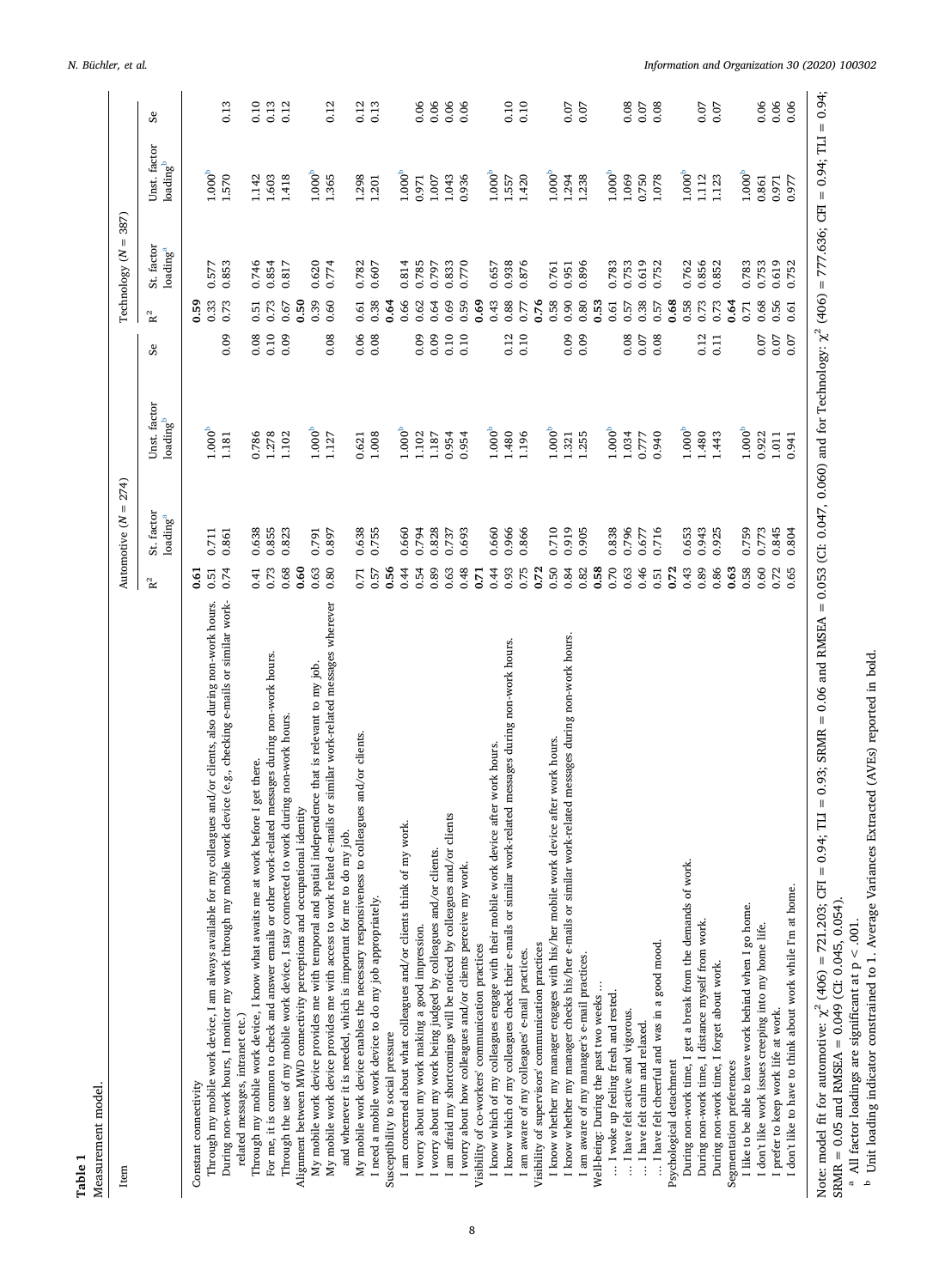<span id="page-8-0"></span>

| Measurement model.                                                                                                                                                                                                                                                                                                                  |                                 |                            |      |                         |                      |           |
|-------------------------------------------------------------------------------------------------------------------------------------------------------------------------------------------------------------------------------------------------------------------------------------------------------------------------------------|---------------------------------|----------------------------|------|-------------------------|----------------------|-----------|
| Item                                                                                                                                                                                                                                                                                                                                | $= 274$<br>Automotive (N        |                            |      | Technology (N           | $= 387$              |           |
|                                                                                                                                                                                                                                                                                                                                     | St. factor<br>$\rm R^2$         | Unst. factor               | Se   | St. factor<br>$\rm R^2$ | Unst. factor         | Se        |
|                                                                                                                                                                                                                                                                                                                                     | $\mathrm{loading}^{\mathrm{a}}$ | $ba\text{diag}^{\text{b}}$ |      | loading <sup>a</sup>    | loading <sup>b</sup> |           |
| Constant connectivity                                                                                                                                                                                                                                                                                                               | 5                               |                            |      | <b>SS</b>               |                      |           |
| Through my mobile work device, I am always available for my colleagues and/or clients, also during non-work hours.                                                                                                                                                                                                                  | 0.711<br>0.51                   | 1.000 <sup>b</sup>         |      | 0.577<br>0.33           | 1.000 <sup>b</sup>   |           |
| work device (e.g., checking e-mails or similar work-<br>During non-work hours, I monitor my work through my mobile                                                                                                                                                                                                                  | 0.861<br>0.74                   | 1.181                      | 0.09 | 0.853<br>0.73           | 1.570                | 0.13      |
| Through my mobile work device, I know what awaits me at work before I get there.<br>related messages, intranet etc.)                                                                                                                                                                                                                | 0.638<br>4                      | 0.786                      | 0.08 | 0.746<br>0.51           | 1.142                | 0.10      |
|                                                                                                                                                                                                                                                                                                                                     |                                 |                            |      |                         |                      |           |
| For me, it is common to check and answer emails or other work-related messages during non-work hours.                                                                                                                                                                                                                               | 0.855<br>0.73                   | 1.278                      | 0.10 | 0.854<br>0.73           | 1.603                | 0.13      |
| work during non-work hours.<br>Through the use of my mobile work device, I stay connected to                                                                                                                                                                                                                                        | 0.823<br>0.68                   | 1.102                      | 0.09 | 0.817<br>0.67           | 1.418                | 0.12      |
| Alignment between MWD connectivity perceptions and occupational identity                                                                                                                                                                                                                                                            | 0.60                            |                            |      | 0.50                    |                      |           |
| My mobile work device provides me with temporal and spatial independence that is relevant to my job.                                                                                                                                                                                                                                | 0.791<br>0.63                   | 1.000 <sup>b</sup>         |      | 0.620<br>0.39           | $1.000^{b}$          |           |
| My mobile work device provides me with access to work related e-mails or similar work-related messages wherever                                                                                                                                                                                                                     | 0.897<br>0.80                   | 1.127                      | 0.08 | 0.774<br>0.60           | 1.365                | 0.12      |
| and whenever it is needed, which is important for me to do my job.                                                                                                                                                                                                                                                                  |                                 |                            |      |                         |                      |           |
| colleagues and/or clients<br>My mobile work device enables the necessary responsiveness to                                                                                                                                                                                                                                          | 0.638<br>0.71                   | 0.621                      | 0.06 | 0.782<br>0.61           | 1.298                | 0.12      |
| I need a mobile work device to do my job appropriately.                                                                                                                                                                                                                                                                             | 0.755<br>0.57                   | 1.008                      | 0.08 | 0.607<br>0.38           | 1.201                | 0.13      |
| Susceptibility to social pressure                                                                                                                                                                                                                                                                                                   | 0.56                            |                            |      | 0.64                    |                      |           |
| I am concerned about what colleagues and/or clients think of my work.                                                                                                                                                                                                                                                               | 0.660<br>0.44                   | 1.000 <sup>b</sup>         |      | 0.814<br>0.66           | $1.000^{b}$          |           |
| I worry about my work making a good impression.                                                                                                                                                                                                                                                                                     | 0.794<br>0.54                   | 1.102                      | 0.09 | 0.785<br>0.62           | 0.971                | 0.06      |
| I worry about my work being judged by colleagues and/or clients.                                                                                                                                                                                                                                                                    | 0.828<br>0.89                   | 1.187                      | 0.09 | 0.797<br>0.64           | 1.007                | 0.06      |
| or clients<br>I am afraid my shortcomings will be noticed by colleagues and/                                                                                                                                                                                                                                                        | 0.737<br>0.63                   | 0.954                      | 0.10 | 0.833<br>0.69           | 1.043                | 0.06      |
| I worry about how colleagues and/or clients perceive my work.                                                                                                                                                                                                                                                                       | 0.693<br>0.48                   | 0.954                      | 0.10 | 0.770<br>0.59           | 0.936                | 0.06      |
| Visibility of co-workers' communication practices                                                                                                                                                                                                                                                                                   | $\overline{5}$                  |                            |      | 0.69                    |                      |           |
| I know which of my colleagues engage with their mobile work device after work hours.                                                                                                                                                                                                                                                | 0.660<br>0.44                   | $1.000^{b}$                |      | 0.657<br>0.43           | 1.000 <sup>b</sup>   |           |
| I know which of my colleagues check their e-mails or similar work-related messages during non-work hours.                                                                                                                                                                                                                           | 0.966<br>0.93                   | 1.480                      | 0.12 | 0.938<br>0.88           | 1.557                | 0.10      |
| I am aware of my colleagues' e-mail practices.                                                                                                                                                                                                                                                                                      | 0.866<br>0.75                   | 1.196                      | 0.10 | 0.876<br>0.77           | 1.420                | 0.10      |
| Visibility of supervisors' communication practices                                                                                                                                                                                                                                                                                  | 0.72                            |                            |      | 0.76                    |                      |           |
| device after work hours<br>I know whether my manager engages with his/her mobile work                                                                                                                                                                                                                                               | 0.710<br>0.50                   | 1.000 <sup>b</sup>         |      | 0.761<br>0.58           | 1.000 <sup>b</sup>   |           |
| I know whether my manager checks his/her e-mails or similar work-related messages during non-work hours.                                                                                                                                                                                                                            | 0.919<br>0.84                   | 1.321                      | 0.09 | 0.951<br>0.90           | 1.294                |           |
| I am aware of my manager's e-mail practices.                                                                                                                                                                                                                                                                                        | 0.905<br>0.82                   | 1.255                      | 0.09 | 0.896<br>0.80           | 1.238                | 0.07      |
| Well-being: During the past two weeks                                                                                                                                                                                                                                                                                               | 0.58                            |                            |      | 0.53                    |                      |           |
| I woke up feeling fresh and rested.                                                                                                                                                                                                                                                                                                 | 0.838<br>0.70                   | 1.000 <sup>b</sup>         |      | 0.783<br>0.61           | 1.000 <sup>b</sup>   |           |
| I have felt active and vigorous.                                                                                                                                                                                                                                                                                                    | 0.796<br>0.63                   | 1.034                      | 0.08 | 0.753<br>0.57           | 1.069                | 0.08      |
| I have felt calm and relaxed                                                                                                                                                                                                                                                                                                        | 0.677<br>0.46                   | 0.777                      | 0.07 | 0.619<br>0.38           | 0.750                | 0.07      |
| I have felt cheerful and was in a good mood.                                                                                                                                                                                                                                                                                        | 0.716<br>0.51                   | 0.940                      | 0.08 | 0.752<br>0.57           | 1.078                | 0.08      |
| Psychological detachment                                                                                                                                                                                                                                                                                                            | 0.72                            |                            |      | 0.68                    |                      |           |
| During non-work time, I get a break from the demands of work.                                                                                                                                                                                                                                                                       | 0.653<br>0.43                   | 1.000 <sup>b</sup>         |      | 0.762<br>0.58           | 1.000 <sup>b</sup>   |           |
| During non-work time, I distance myself from work.                                                                                                                                                                                                                                                                                  | 0.943<br>0.89                   | 1.480                      | 0.12 | 0.856<br>0.73           | 1.112                | 0.07      |
| During non-work time, I forget about work.                                                                                                                                                                                                                                                                                          | 0.925<br>0.86                   | 1.443                      | 0.11 | 0.852<br>0.73           | 1.123                | 0.07      |
| Segmentation preferences                                                                                                                                                                                                                                                                                                            | 0.63                            |                            |      | 0.64                    |                      |           |
| I like to be able to leave work behind when I go home.                                                                                                                                                                                                                                                                              | 0.759<br>0.58                   | 1.000 <sup>b</sup>         |      | 0.783<br>0.71           | 1.000 <sup>b</sup>   |           |
| I don't like work issues creeping into my home life.                                                                                                                                                                                                                                                                                | 0.773<br>0.60                   | 0.922                      | 0.07 | 0.753<br>0.68           | 0.861                | 0.06      |
| I prefer to keep work life at work.                                                                                                                                                                                                                                                                                                 | 0.845<br>0.72                   | $1.011\,$                  | 0.07 | 0.619<br>0.56           | 0.971                | 0.06      |
| I don't like to have to think about work while I'm at home.                                                                                                                                                                                                                                                                         | 0.804<br>0.65                   | 0.941                      | 0.07 | 0.752<br>0.61           | 0.977                | 0.06      |
| 0.94; TLI = 0.93; SRMR = 0.06 and RMSEA = 0.053 (C1: 0.047, 0.060) and for Technology: $\chi^2$ (406) = 777.636; CFI = 0.94; TLI<br>$\label{eq:1} \begin{array}{c} \vspace{0.05in} \Pi \end{array}$<br>Note: model fit for automotive: $\chi^2$ (406) = 721.203; CFI<br>SRMR = $0.05$ and RMSEA = $0.049$ (CI: $0.045$ , $0.054$ ). |                                 |                            |      |                         |                      | $= 0.94;$ |
| <sup>b</sup> Unit loading indicator constrained to 1. Average Variances Extracted (AVEs) reported in bold.<br><sup>a</sup> All factor loadings are significant at $p < .001$ .                                                                                                                                                      |                                 |                            |      |                         |                      |           |
|                                                                                                                                                                                                                                                                                                                                     |                                 |                            |      |                         |                      |           |
|                                                                                                                                                                                                                                                                                                                                     |                                 |                            |      |                         |                      |           |
|                                                                                                                                                                                                                                                                                                                                     |                                 |                            |      |                         |                      |           |
|                                                                                                                                                                                                                                                                                                                                     |                                 |                            |      |                         |                      |           |

8

**Table 1**

*N. Büchler, et al. Information and Organization 30 (2020) 100302*

<span id="page-8-2"></span><span id="page-8-1"></span>SRMR = 0.05 and RMSEA = 0.049 (CI: 0.045, 0.054).<br><sup>a</sup> All factor loadings are significant at p < .001.<br><sup>b</sup> Unit loading indicator constrained to 1. Average Variances Extracted (AVEs) reported in bold.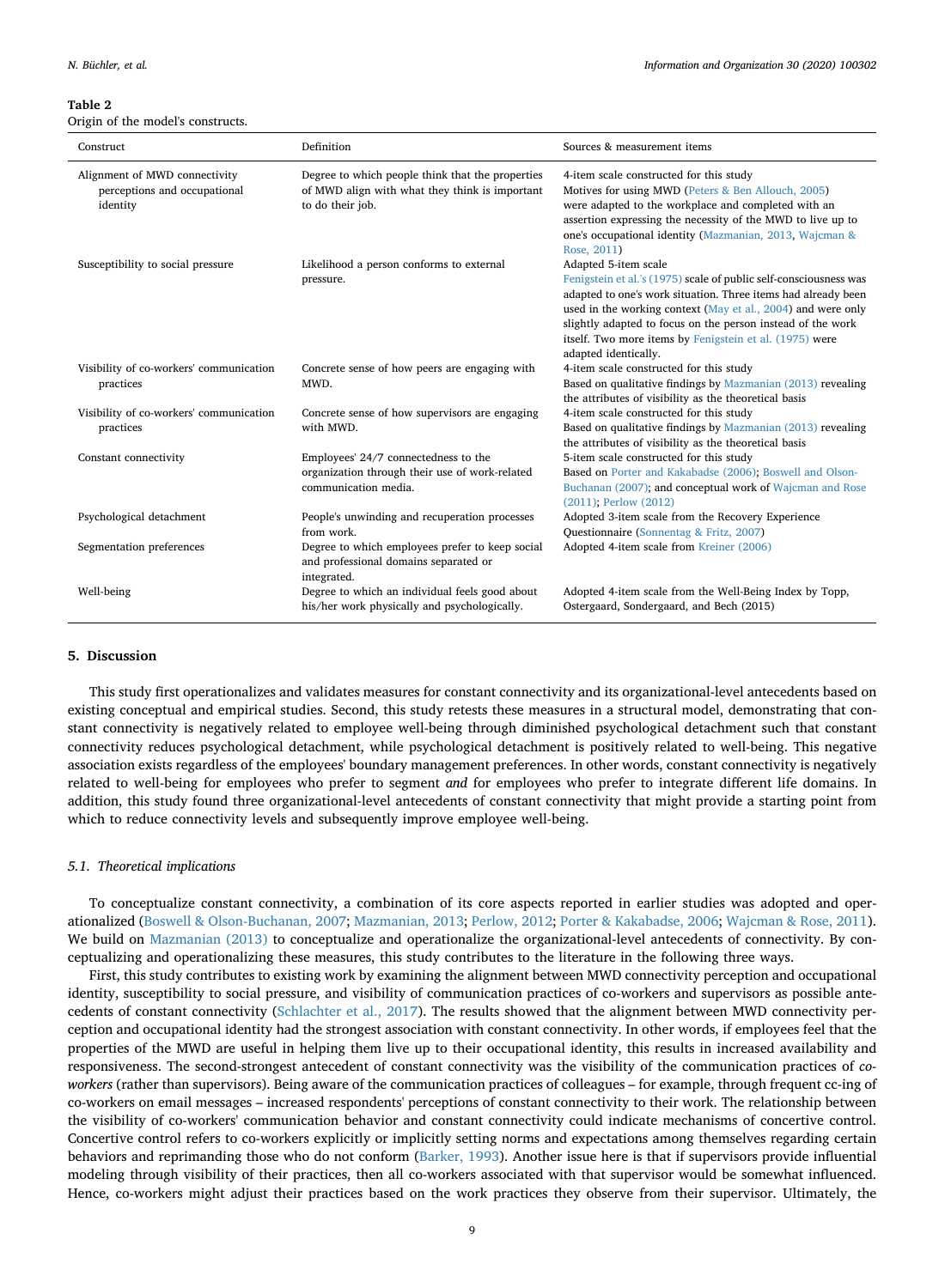<span id="page-9-0"></span>**Table 2**

Origin of the model's constructs.

| Construct                                                                 | Definition                                                                                                             | Sources & measurement items                                                                                                                                                                                                                                                                                                                                                  |
|---------------------------------------------------------------------------|------------------------------------------------------------------------------------------------------------------------|------------------------------------------------------------------------------------------------------------------------------------------------------------------------------------------------------------------------------------------------------------------------------------------------------------------------------------------------------------------------------|
| Alignment of MWD connectivity<br>perceptions and occupational<br>identity | Degree to which people think that the properties<br>of MWD align with what they think is important<br>to do their job. | 4-item scale constructed for this study<br>Motives for using MWD (Peters & Ben Allouch, 2005)<br>were adapted to the workplace and completed with an<br>assertion expressing the necessity of the MWD to live up to<br>one's occupational identity (Mazmanian, 2013, Wajcman &<br>Rose, 2011)                                                                                |
| Susceptibility to social pressure                                         | Likelihood a person conforms to external<br>pressure.                                                                  | Adapted 5-item scale<br>Fenigstein et al.'s (1975) scale of public self-consciousness was<br>adapted to one's work situation. Three items had already been<br>used in the working context (May et al., 2004) and were only<br>slightly adapted to focus on the person instead of the work<br>itself. Two more items by Fenigstein et al. (1975) were<br>adapted identically. |
| Visibility of co-workers' communication<br>practices                      | Concrete sense of how peers are engaging with<br>MWD.                                                                  | 4-item scale constructed for this study<br>Based on qualitative findings by Mazmanian (2013) revealing<br>the attributes of visibility as the theoretical basis                                                                                                                                                                                                              |
| Visibility of co-workers' communication<br>practices                      | Concrete sense of how supervisors are engaging<br>with MWD.                                                            | 4-item scale constructed for this study<br>Based on qualitative findings by Mazmanian (2013) revealing<br>the attributes of visibility as the theoretical basis                                                                                                                                                                                                              |
| Constant connectivity                                                     | Employees' 24/7 connectedness to the<br>organization through their use of work-related<br>communication media.         | 5-item scale constructed for this study<br>Based on Porter and Kakabadse (2006); Boswell and Olson-<br>Buchanan (2007); and conceptual work of Wajcman and Rose<br>(2011); Perlow (2012)                                                                                                                                                                                     |
| Psychological detachment                                                  | People's unwinding and recuperation processes<br>from work.                                                            | Adopted 3-item scale from the Recovery Experience<br>Questionnaire (Sonnentag & Fritz, 2007)                                                                                                                                                                                                                                                                                 |
| Segmentation preferences                                                  | Degree to which employees prefer to keep social<br>and professional domains separated or<br>integrated.                | Adopted 4-item scale from Kreiner (2006)                                                                                                                                                                                                                                                                                                                                     |
| Well-being                                                                | Degree to which an individual feels good about<br>his/her work physically and psychologically.                         | Adopted 4-item scale from the Well-Being Index by Topp,<br>Ostergaard, Sondergaard, and Bech (2015)                                                                                                                                                                                                                                                                          |

#### **5. Discussion**

This study first operationalizes and validates measures for constant connectivity and its organizational-level antecedents based on existing conceptual and empirical studies. Second, this study retests these measures in a structural model, demonstrating that constant connectivity is negatively related to employee well-being through diminished psychological detachment such that constant connectivity reduces psychological detachment, while psychological detachment is positively related to well-being. This negative association exists regardless of the employees' boundary management preferences. In other words, constant connectivity is negatively related to well-being for employees who prefer to segment *and* for employees who prefer to integrate different life domains. In addition, this study found three organizational-level antecedents of constant connectivity that might provide a starting point from which to reduce connectivity levels and subsequently improve employee well-being.

#### *5.1. Theoretical implications*

To conceptualize constant connectivity, a combination of its core aspects reported in earlier studies was adopted and operationalized ([Boswell & Olson-Buchanan, 2007;](#page-13-8) [Mazmanian, 2013](#page-13-12); [Perlow, 2012;](#page-13-0) [Porter & Kakabadse, 2006](#page-13-17); [Wajcman & Rose, 2011](#page-14-0)). We build on [Mazmanian \(2013\)](#page-13-12) to conceptualize and operationalize the organizational-level antecedents of connectivity. By conceptualizing and operationalizing these measures, this study contributes to the literature in the following three ways.

First, this study contributes to existing work by examining the alignment between MWD connectivity perception and occupational identity, susceptibility to social pressure, and visibility of communication practices of co-workers and supervisors as possible antecedents of constant connectivity ([Schlachter et al., 2017\)](#page-14-2). The results showed that the alignment between MWD connectivity perception and occupational identity had the strongest association with constant connectivity. In other words, if employees feel that the properties of the MWD are useful in helping them live up to their occupational identity, this results in increased availability and responsiveness. The second-strongest antecedent of constant connectivity was the visibility of the communication practices of *coworkers* (rather than supervisors). Being aware of the communication practices of colleagues – for example, through frequent cc-ing of co-workers on email messages – increased respondents' perceptions of constant connectivity to their work. The relationship between the visibility of co-workers' communication behavior and constant connectivity could indicate mechanisms of concertive control. Concertive control refers to co-workers explicitly or implicitly setting norms and expectations among themselves regarding certain behaviors and reprimanding those who do not conform ([Barker, 1993\)](#page-12-1). Another issue here is that if supervisors provide influential modeling through visibility of their practices, then all co-workers associated with that supervisor would be somewhat influenced. Hence, co-workers might adjust their practices based on the work practices they observe from their supervisor. Ultimately, the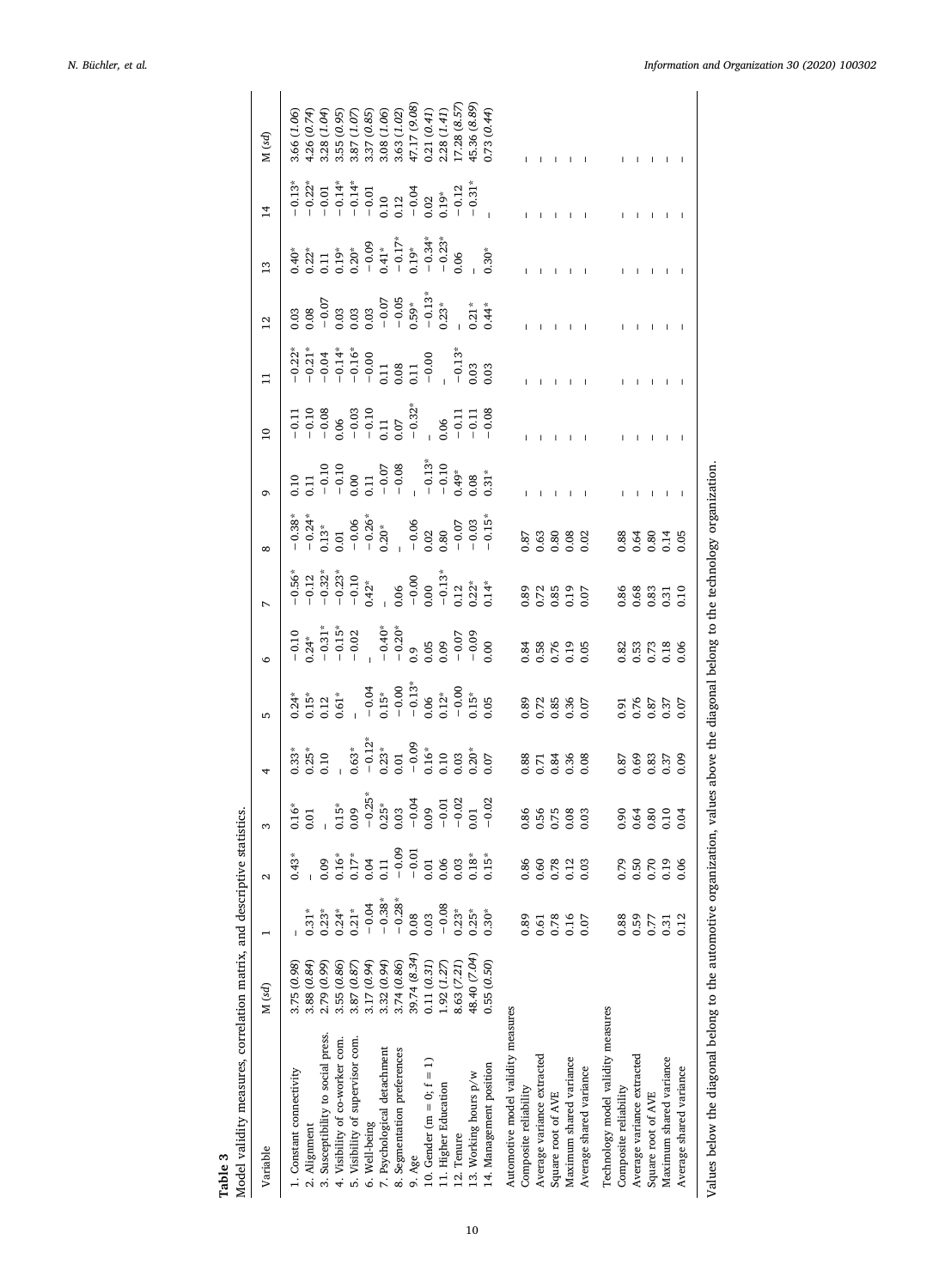<span id="page-10-0"></span>

| Variable                           | M (sd)       |                  | $\mathbf{\Omega}$ | 3                                                                           | 4                                                                                       | Б                                                                                                                                                                                               | $\circ$                                                         | $\overline{ }$                                                                    | $\infty$          | G                                                                                                                                                | $\overline{10}$                                                                                                        | $\Xi$                                                                                                                         | $\overline{12}$                                                                                                                                | $\frac{3}{2}$                                                                        | $\overline{1}$                                                                                                                                                                                                                                                                                                                                                                                                                                                                                                                         | M (sd)                     |
|------------------------------------|--------------|------------------|-------------------|-----------------------------------------------------------------------------|-----------------------------------------------------------------------------------------|-------------------------------------------------------------------------------------------------------------------------------------------------------------------------------------------------|-----------------------------------------------------------------|-----------------------------------------------------------------------------------|-------------------|--------------------------------------------------------------------------------------------------------------------------------------------------|------------------------------------------------------------------------------------------------------------------------|-------------------------------------------------------------------------------------------------------------------------------|------------------------------------------------------------------------------------------------------------------------------------------------|--------------------------------------------------------------------------------------|----------------------------------------------------------------------------------------------------------------------------------------------------------------------------------------------------------------------------------------------------------------------------------------------------------------------------------------------------------------------------------------------------------------------------------------------------------------------------------------------------------------------------------------|----------------------------|
| 1. Constant connectivity           | 3.75 (0.98)  |                  | 0.43              |                                                                             | $0.33*$                                                                                 |                                                                                                                                                                                                 |                                                                 |                                                                                   |                   |                                                                                                                                                  |                                                                                                                        |                                                                                                                               |                                                                                                                                                | $0.40*$                                                                              |                                                                                                                                                                                                                                                                                                                                                                                                                                                                                                                                        | 3.66 (1.06)                |
| 2. Alignment                       | 3.88(0.84)   | $0.31*$          |                   | $^{16*}_{0.01}$                                                             |                                                                                         |                                                                                                                                                                                                 |                                                                 |                                                                                   |                   |                                                                                                                                                  |                                                                                                                        |                                                                                                                               |                                                                                                                                                |                                                                                      |                                                                                                                                                                                                                                                                                                                                                                                                                                                                                                                                        |                            |
| 3. Susceptibility to social press. | 2.79 (0.99)  | $0.23*$          | 0.09              |                                                                             | $0.25*$                                                                                 | $\begin{array}{l} 0.24^{*} \\ 0.15^{*} \\ 0.15^{*} \\ 0.21^{*} \\ -0.04^{*} \\ -0.05^{*} \\ -0.00 \\ -0.00 \\ -0.00 \\ -0.00 \\ 0.15^{*} \\ -0.00 \\ 0.05 \\ -0.05 \\ 0.05 \\ 0.05 \end{array}$ |                                                                 | $-0.56$ *<br>$-0.12$<br>$-0.32$ *<br>$-0.23$ *<br>$-0.10$<br>$-0.10$<br>$-0.10$   |                   | 0.10<br>0.11<br>$-0.10$<br>$-0.10$<br>$-0.00$<br>$-0.00$<br>$-0.00$<br>$-0.00$<br>$-0.13$<br>$-0.10$<br>$-0.10$<br>$-0.10$<br>$-0.10$<br>$-0.10$ | $\begin{array}{r} -0.11 \\ -0.10 \\ -0.08 \\ -0.06 \\ -0.03 \\ -0.11 \\ -0.11 \\ -0.32^\ast \\ -0.32^\ast \end{array}$ | $-0.22$<br>$-0.21$<br>$-0.14$<br>$-0.14$<br>$-0.14$<br>$-0.14$<br>$-0.06$<br>$-0.09$<br>$-0.03$<br>$-0.03$<br>$-0.03$<br>0.03 | $\begin{array}{r} 0.03\\ 0.08\\ -\ 0.07\\ -\ 0.03\\ 0.03\\ 0.03\\ -\ 0.05\\ -\ 0.05\\ -\ 0.59\\ -\ 0.59\\ -\ 0.13\\ 23^*\\ 1.23^* \end{array}$ | $0.22$<br>$0.11$<br>$0.19$                                                           | $\begin{array}{l} \mathring{2}, \mathring{2}, \mathring{2}, \mathring{3}, \mathring{4}, \mathring{5}, \mathring{6}, \mathring{7}, \mathring{7}, \mathring{8}, \mathring{7}, \mathring{8}, \mathring{7}, \mathring{8}, \mathring{7}, \mathring{8}, \mathring{7}, \mathring{8}, \mathring{7}, \mathring{8}, \mathring{7}, \mathring{8}, \mathring{7}, \mathring{8}, \mathring{7}, \mathring{8}, \mathring{7}, \mathring{8}, \mathring{7}, \mathring{8}, \mathring{7}, \mathring{8}, \mathring{7}, \mathring{8}, \mathring{7}, \mathring$ | 4.26 (0.74)<br>3.28 (1.04) |
| 4. Visibility of co-worker com.    | 3.55(0.86)   | $0.24*$          | 0.16              |                                                                             |                                                                                         |                                                                                                                                                                                                 |                                                                 |                                                                                   |                   |                                                                                                                                                  |                                                                                                                        |                                                                                                                               |                                                                                                                                                |                                                                                      |                                                                                                                                                                                                                                                                                                                                                                                                                                                                                                                                        | 3.55 (0.95)                |
| 5. Visibility of supervisor com    | 3.87 (0.87   | $0.21*$          | $0.17*$           |                                                                             | $0.63*$                                                                                 |                                                                                                                                                                                                 |                                                                 |                                                                                   |                   |                                                                                                                                                  |                                                                                                                        |                                                                                                                               |                                                                                                                                                |                                                                                      |                                                                                                                                                                                                                                                                                                                                                                                                                                                                                                                                        | 3.87 (1.07                 |
| 6. Well-being                      | 3.17 (0.94)  | $-0.04$          | 0.04              |                                                                             |                                                                                         |                                                                                                                                                                                                 |                                                                 |                                                                                   |                   |                                                                                                                                                  |                                                                                                                        |                                                                                                                               |                                                                                                                                                |                                                                                      |                                                                                                                                                                                                                                                                                                                                                                                                                                                                                                                                        | 3.37 (0.85)                |
| 7. Psychological detachment        | 3.32(0.94)   | $-0.38*$         | 0.11              |                                                                             |                                                                                         |                                                                                                                                                                                                 |                                                                 |                                                                                   |                   |                                                                                                                                                  |                                                                                                                        |                                                                                                                               |                                                                                                                                                |                                                                                      |                                                                                                                                                                                                                                                                                                                                                                                                                                                                                                                                        | 3.08 (1.06)                |
| 8. Segmentation preferences        | 3.74 (0.86)  | $-0.28*$         | $-0.09$           |                                                                             |                                                                                         |                                                                                                                                                                                                 |                                                                 |                                                                                   |                   |                                                                                                                                                  |                                                                                                                        |                                                                                                                               |                                                                                                                                                |                                                                                      |                                                                                                                                                                                                                                                                                                                                                                                                                                                                                                                                        | 3.63 (1.02)                |
| 9. Age                             | 39.74 (8.34) | 0.08             | $-0.01$           | 0.15*<br>0.09<br>0.03*<br>0.03<br>0.00 - 0.01<br>0.00 - 0.01<br>0.01 - 0.02 | $-0.12$<br>$-0.23$<br>$-0.01$<br>$-0.01$<br>$-0.01$<br>$-0.003$<br>$-0.003$<br>$-0.005$ |                                                                                                                                                                                                 |                                                                 | $\begin{array}{c} 0.06 \\ -0.00 \\ -0.013 \\ -0.13 \\ 0.12 \\ 0.22^* \end{array}$ |                   |                                                                                                                                                  |                                                                                                                        |                                                                                                                               |                                                                                                                                                | $0.20^*$<br>$-0.09$<br>$-0.17^*$<br>$-0.17^*$<br>$-0.34^*$<br>$-0.34^*$<br>$-0.23^*$ |                                                                                                                                                                                                                                                                                                                                                                                                                                                                                                                                        | 17.17 (9.08)               |
| 10. Gender (m = 0; $f = 1$ )       | 0.11(0.31)   | 0.03             | 0.01              |                                                                             |                                                                                         |                                                                                                                                                                                                 |                                                                 |                                                                                   |                   |                                                                                                                                                  |                                                                                                                        |                                                                                                                               |                                                                                                                                                |                                                                                      |                                                                                                                                                                                                                                                                                                                                                                                                                                                                                                                                        | 0.21(0.41)                 |
| 11. Higher Education               | 1.92(1.27)   | $-0.08$          | 0.06              |                                                                             |                                                                                         |                                                                                                                                                                                                 |                                                                 |                                                                                   |                   |                                                                                                                                                  | 0.06                                                                                                                   |                                                                                                                               |                                                                                                                                                |                                                                                      |                                                                                                                                                                                                                                                                                                                                                                                                                                                                                                                                        | .28(1.41)                  |
| 12. Tenure                         | 8.63 (7.21)  | $0.23*$          | 0.03              |                                                                             |                                                                                         |                                                                                                                                                                                                 |                                                                 |                                                                                   |                   |                                                                                                                                                  |                                                                                                                        |                                                                                                                               |                                                                                                                                                |                                                                                      |                                                                                                                                                                                                                                                                                                                                                                                                                                                                                                                                        | .7.28(8.57)                |
| 13. Working hours p/w              | 48.40 (7.04) | $0.25*$          | $0.18*$           |                                                                             |                                                                                         |                                                                                                                                                                                                 |                                                                 |                                                                                   |                   |                                                                                                                                                  |                                                                                                                        |                                                                                                                               | $0.21*$                                                                                                                                        |                                                                                      |                                                                                                                                                                                                                                                                                                                                                                                                                                                                                                                                        | 5.36 (8.89)                |
| 14. Management position            | 0.55(0.50)   | $0.30*$          | $0.15*$           |                                                                             |                                                                                         |                                                                                                                                                                                                 |                                                                 | $0.14*$                                                                           |                   | $0.31*$                                                                                                                                          | $-0.11$<br>$-0.11$<br>$-0.08$                                                                                          |                                                                                                                               | $0.44*$                                                                                                                                        | $0.30*$                                                                              |                                                                                                                                                                                                                                                                                                                                                                                                                                                                                                                                        | 0.73(0.44)                 |
| Automotive model validity measures |              |                  |                   |                                                                             |                                                                                         |                                                                                                                                                                                                 |                                                                 |                                                                                   |                   |                                                                                                                                                  |                                                                                                                        |                                                                                                                               |                                                                                                                                                |                                                                                      |                                                                                                                                                                                                                                                                                                                                                                                                                                                                                                                                        |                            |
| Composite reliability              |              | 0.89             | 0.86              | 0.86                                                                        |                                                                                         |                                                                                                                                                                                                 |                                                                 |                                                                                   |                   |                                                                                                                                                  |                                                                                                                        |                                                                                                                               |                                                                                                                                                |                                                                                      |                                                                                                                                                                                                                                                                                                                                                                                                                                                                                                                                        |                            |
| Average variance extracted         |              | 0.61             | 0.60              | 0.56                                                                        | $0.88$<br>$0.71$                                                                        | 89<br>0.72<br>0.85<br>0.07                                                                                                                                                                      | $\begin{array}{c} 88 \\ 0.000 \\ 0.000 \\ 0.000 \\ \end{array}$ | 0.89                                                                              | $0.87$<br>0.63    |                                                                                                                                                  |                                                                                                                        |                                                                                                                               |                                                                                                                                                |                                                                                      |                                                                                                                                                                                                                                                                                                                                                                                                                                                                                                                                        |                            |
| Square root of AVE                 |              | 0.78             | 0.78              | 0.75                                                                        |                                                                                         |                                                                                                                                                                                                 |                                                                 | 0.85                                                                              |                   |                                                                                                                                                  |                                                                                                                        |                                                                                                                               |                                                                                                                                                |                                                                                      |                                                                                                                                                                                                                                                                                                                                                                                                                                                                                                                                        |                            |
| Maximum shared variance            |              | $0.16$<br>$0.07$ | 0.12              | 0.08                                                                        | $\frac{3}{6}$ $\frac{8}{6}$ $\frac{8}{6}$                                               |                                                                                                                                                                                                 |                                                                 | 0.19                                                                              | 88<br>0.82<br>0.0 |                                                                                                                                                  |                                                                                                                        |                                                                                                                               |                                                                                                                                                |                                                                                      |                                                                                                                                                                                                                                                                                                                                                                                                                                                                                                                                        |                            |
| Average shared variance            |              |                  | 0.03              | 0.03                                                                        |                                                                                         |                                                                                                                                                                                                 |                                                                 | 0.07                                                                              |                   |                                                                                                                                                  |                                                                                                                        |                                                                                                                               |                                                                                                                                                |                                                                                      |                                                                                                                                                                                                                                                                                                                                                                                                                                                                                                                                        |                            |
| Technology model validity measures |              |                  |                   |                                                                             |                                                                                         |                                                                                                                                                                                                 |                                                                 |                                                                                   |                   |                                                                                                                                                  |                                                                                                                        |                                                                                                                               |                                                                                                                                                |                                                                                      |                                                                                                                                                                                                                                                                                                                                                                                                                                                                                                                                        |                            |
| Composite reliability              |              | 0.88             | 0.79              | 0.90                                                                        | 0.87                                                                                    |                                                                                                                                                                                                 |                                                                 |                                                                                   | 0.88              |                                                                                                                                                  |                                                                                                                        |                                                                                                                               |                                                                                                                                                |                                                                                      |                                                                                                                                                                                                                                                                                                                                                                                                                                                                                                                                        |                            |
| Average variance extracted         |              | 0.59             | 0.50              | 0.64                                                                        | 0.69                                                                                    | $0.91$<br>0.76                                                                                                                                                                                  |                                                                 | 0.86<br>0.68                                                                      | 0.64              |                                                                                                                                                  |                                                                                                                        |                                                                                                                               |                                                                                                                                                |                                                                                      |                                                                                                                                                                                                                                                                                                                                                                                                                                                                                                                                        |                            |
| Square root of AVE                 |              | 0.77             | 0.70              | 0.80                                                                        |                                                                                         |                                                                                                                                                                                                 |                                                                 |                                                                                   | 0.80              |                                                                                                                                                  |                                                                                                                        |                                                                                                                               |                                                                                                                                                |                                                                                      |                                                                                                                                                                                                                                                                                                                                                                                                                                                                                                                                        |                            |
| Maximum shared variance            |              | 0.31             | 0.19              | 0.10                                                                        | $0.83$<br>$0.37$                                                                        | 0.87<br>0.97<br>0.07                                                                                                                                                                            | $\begin{array}{c} 82 \\ 83 \\ 0 \\ 0 \\ 0 \\ 0 \\ \end{array}$  | $\begin{array}{c} 0.83 \\ 0.31 \end{array}$                                       | 0.14              |                                                                                                                                                  |                                                                                                                        |                                                                                                                               |                                                                                                                                                |                                                                                      |                                                                                                                                                                                                                                                                                                                                                                                                                                                                                                                                        |                            |
| Average shared variance            |              | 0.12             | 0.06              | 0.04                                                                        | 0.09                                                                                    |                                                                                                                                                                                                 |                                                                 | 0.10                                                                              |                   |                                                                                                                                                  |                                                                                                                        |                                                                                                                               |                                                                                                                                                |                                                                                      |                                                                                                                                                                                                                                                                                                                                                                                                                                                                                                                                        |                            |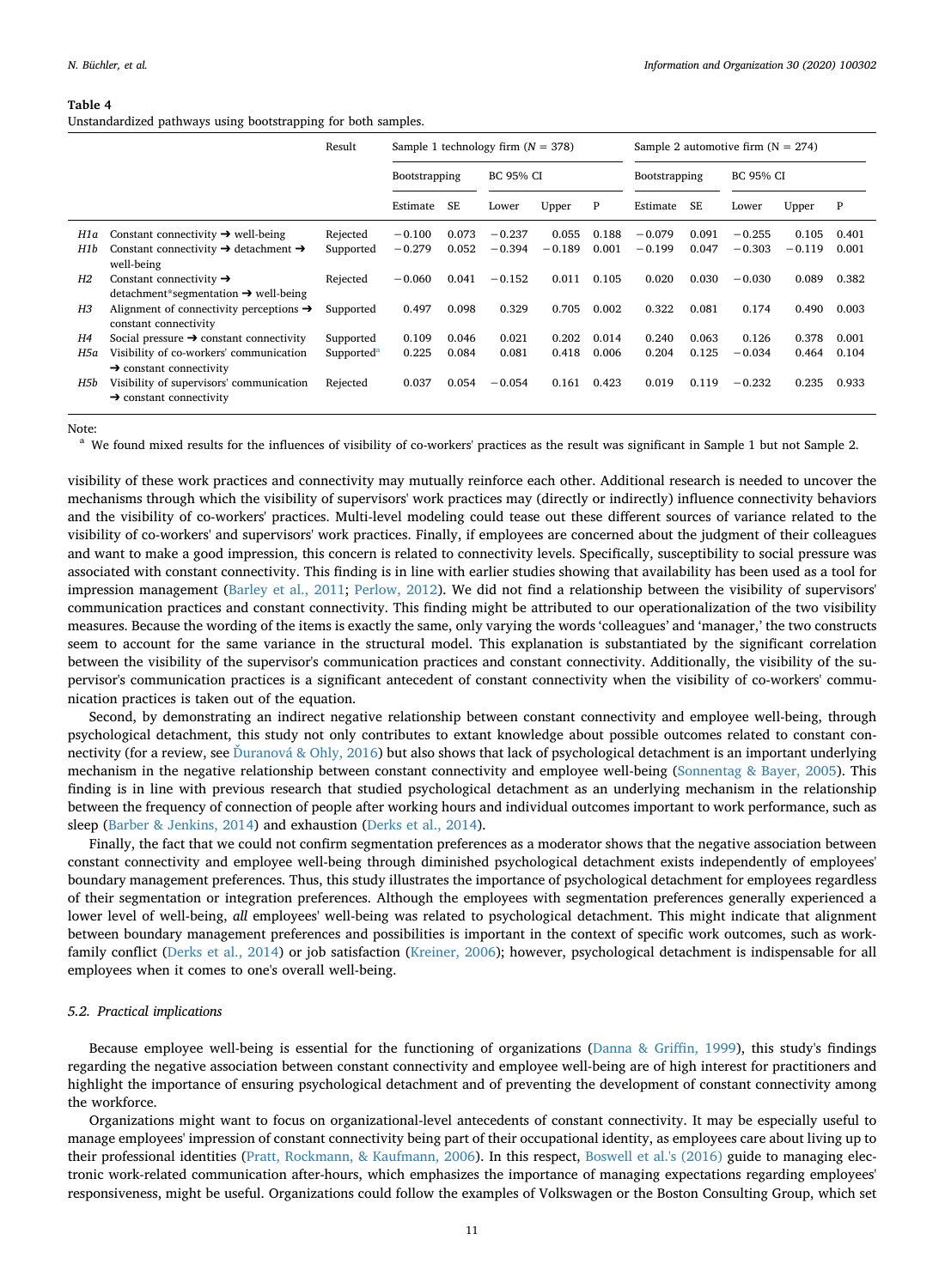#### <span id="page-11-0"></span>**Table 4**

Unstandardized pathways using bootstrapping for both samples.

|            |                                                                                                                              | Result                 | Sample 1 technology firm $(N = 378)$ |                |                      |                   |                | Sample 2 automotive firm $(N = 274)$ |                |                      |                   |                |  |
|------------|------------------------------------------------------------------------------------------------------------------------------|------------------------|--------------------------------------|----------------|----------------------|-------------------|----------------|--------------------------------------|----------------|----------------------|-------------------|----------------|--|
|            |                                                                                                                              |                        | Bootstrapping                        |                | <b>BC 95% CI</b>     |                   |                | Bootstrapping                        |                | <b>BC 95% CI</b>     |                   |                |  |
|            |                                                                                                                              |                        | Estimate                             | SE.            | Lower                | Upper             | P              | Estimate                             | SF.            | Lower                | Upper             | P              |  |
| H1a<br>H1b | Constant connectivity $\rightarrow$ well-being<br>Constant connectivity $\rightarrow$ detachment $\rightarrow$<br>well-being | Rejected<br>Supported  | $-0.100$<br>$-0.279$                 | 0.073<br>0.052 | $-0.237$<br>$-0.394$ | 0.055<br>$-0.189$ | 0.188<br>0.001 | $-0.079$<br>$-0.199$                 | 0.091<br>0.047 | $-0.255$<br>$-0.303$ | 0.105<br>$-0.119$ | 0.401<br>0.001 |  |
| H2         | Constant connectivity $\rightarrow$<br>$d$ etachment*segmentation $\rightarrow$ well-being                                   | Rejected               | $-0.060$                             | 0.041          | $-0.152$             | 0.011             | 0.105          | 0.020                                | 0.030          | $-0.030$             | 0.089             | 0.382          |  |
| H3         | Alignment of connectivity perceptions $\rightarrow$<br>constant connectivity                                                 | Supported              | 0.497                                | 0.098          | 0.329                | 0.705             | 0.002          | 0.322                                | 0.081          | 0.174                | 0.490             | 0.003          |  |
| H4         | Social pressure $\rightarrow$ constant connectivity                                                                          | Supported              | 0.109                                | 0.046          | 0.021                | 0.202             | 0.014          | 0.240                                | 0.063          | 0.126                | 0.378             | 0.001          |  |
| H5a        | Visibility of co-workers' communication<br>$\rightarrow$ constant connectivity                                               | Supported <sup>a</sup> | 0.225                                | 0.084          | 0.081                | 0.418             | 0.006          | 0.204                                | 0.125          | $-0.034$             | 0.464             | 0.104          |  |
| H5b        | Visibility of supervisors' communication<br>$\rightarrow$ constant connectivity                                              | Rejected               | 0.037                                | 0.054          | $-0.054$             | 0.161             | 0.423          | 0.019                                | 0.119          | $-0.232$             | 0.235             | 0.933          |  |

#### Note:

<span id="page-11-1"></span><sup>a</sup> We found mixed results for the influences of visibility of co-workers' practices as the result was significant in Sample 1 but not Sample 2.

visibility of these work practices and connectivity may mutually reinforce each other. Additional research is needed to uncover the mechanisms through which the visibility of supervisors' work practices may (directly or indirectly) influence connectivity behaviors and the visibility of co-workers' practices. Multi-level modeling could tease out these different sources of variance related to the visibility of co-workers' and supervisors' work practices. Finally, if employees are concerned about the judgment of their colleagues and want to make a good impression, this concern is related to connectivity levels. Specifically, susceptibility to social pressure was associated with constant connectivity. This finding is in line with earlier studies showing that availability has been used as a tool for impression management ([Barley et al., 2011](#page-13-19); [Perlow, 2012](#page-13-0)). We did not find a relationship between the visibility of supervisors' communication practices and constant connectivity. This finding might be attributed to our operationalization of the two visibility measures. Because the wording of the items is exactly the same, only varying the words 'colleagues' and 'manager,' the two constructs seem to account for the same variance in the structural model. This explanation is substantiated by the significant correlation between the visibility of the supervisor's communication practices and constant connectivity. Additionally, the visibility of the supervisor's communication practices is a significant antecedent of constant connectivity when the visibility of co-workers' communication practices is taken out of the equation.

Second, by demonstrating an indirect negative relationship between constant connectivity and employee well-being, through psychological detachment, this study not only contributes to extant knowledge about possible outcomes related to constant connectivity (for a review, see Duranová & Ohly, 2016) but also shows that lack of psychological detachment is an important underlying mechanism in the negative relationship between constant connectivity and employee well-being ([Sonnentag & Bayer, 2005](#page-14-4)). This finding is in line with previous research that studied psychological detachment as an underlying mechanism in the relationship between the frequency of connection of people after working hours and individual outcomes important to work performance, such as sleep [\(Barber & Jenkins, 2014](#page-13-35)) and exhaustion ([Derks et al., 2014\)](#page-13-13).

Finally, the fact that we could not confirm segmentation preferences as a moderator shows that the negative association between constant connectivity and employee well-being through diminished psychological detachment exists independently of employees' boundary management preferences. Thus, this study illustrates the importance of psychological detachment for employees regardless of their segmentation or integration preferences. Although the employees with segmentation preferences generally experienced a lower level of well-being, *all* employees' well-being was related to psychological detachment. This might indicate that alignment between boundary management preferences and possibilities is important in the context of specific work outcomes, such as workfamily conflict ([Derks et al., 2014\)](#page-13-13) or job satisfaction ([Kreiner, 2006\)](#page-13-14); however, psychological detachment is indispensable for all employees when it comes to one's overall well-being.

#### *5.2. Practical implications*

Because employee well-being is essential for the functioning of organizations ([Danna & Griffin, 1999](#page-13-3)), this study's findings regarding the negative association between constant connectivity and employee well-being are of high interest for practitioners and highlight the importance of ensuring psychological detachment and of preventing the development of constant connectivity among the workforce.

Organizations might want to focus on organizational-level antecedents of constant connectivity. It may be especially useful to manage employees' impression of constant connectivity being part of their occupational identity, as employees care about living up to their professional identities [\(Pratt, Rockmann, & Kaufmann, 2006\)](#page-13-36). In this respect, [Boswell et al.'s \(2016\)](#page-13-9) guide to managing electronic work-related communication after-hours, which emphasizes the importance of managing expectations regarding employees' responsiveness, might be useful. Organizations could follow the examples of Volkswagen or the Boston Consulting Group, which set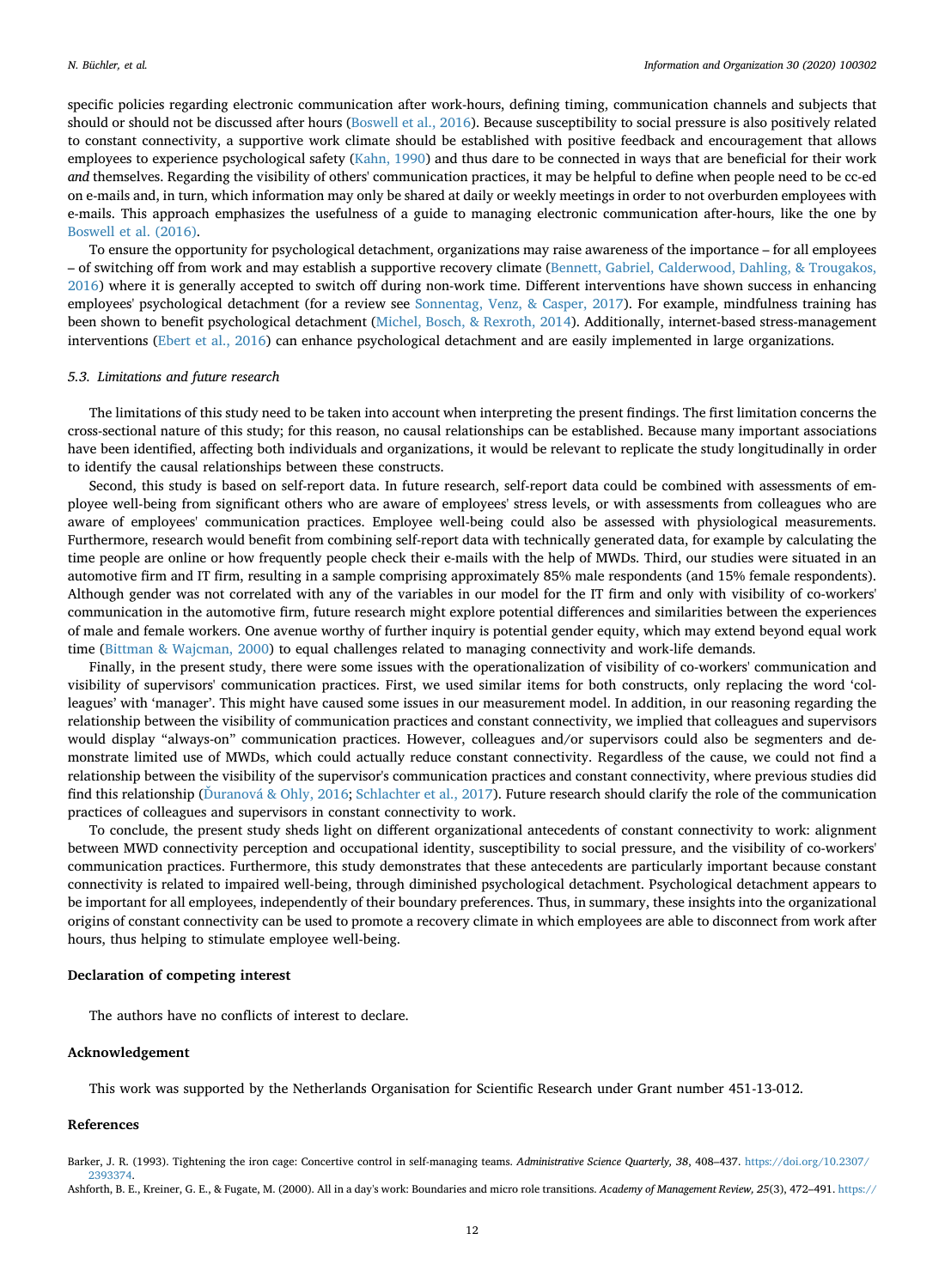specific policies regarding electronic communication after work-hours, defining timing, communication channels and subjects that should or should not be discussed after hours [\(Boswell et al., 2016](#page-13-9)). Because susceptibility to social pressure is also positively related to constant connectivity, a supportive work climate should be established with positive feedback and encouragement that allows employees to experience psychological safety [\(Kahn, 1990](#page-13-37)) and thus dare to be connected in ways that are beneficial for their work *and* themselves. Regarding the visibility of others' communication practices, it may be helpful to define when people need to be cc-ed on e-mails and, in turn, which information may only be shared at daily or weekly meetings in order to not overburden employees with e-mails. This approach emphasizes the usefulness of a guide to managing electronic communication after-hours, like the one by [Boswell et al. \(2016\)](#page-13-9).

To ensure the opportunity for psychological detachment, organizations may raise awareness of the importance – for all employees – of switching off from work and may establish a supportive recovery climate [\(Bennett, Gabriel, Calderwood, Dahling, & Trougakos,](#page-13-38) [2016\)](#page-13-38) where it is generally accepted to switch off during non-work time. Different interventions have shown success in enhancing employees' psychological detachment (for a review see [Sonnentag, Venz, & Casper, 2017](#page-14-17)). For example, mindfulness training has been shown to benefit psychological detachment ([Michel, Bosch, & Rexroth, 2014](#page-13-39)). Additionally, internet-based stress-management interventions [\(Ebert et al., 2016](#page-13-40)) can enhance psychological detachment and are easily implemented in large organizations.

### *5.3. Limitations and future research*

The limitations of this study need to be taken into account when interpreting the present findings. The first limitation concerns the cross-sectional nature of this study; for this reason, no causal relationships can be established. Because many important associations have been identified, affecting both individuals and organizations, it would be relevant to replicate the study longitudinally in order to identify the causal relationships between these constructs.

Second, this study is based on self-report data. In future research, self-report data could be combined with assessments of employee well-being from significant others who are aware of employees' stress levels, or with assessments from colleagues who are aware of employees' communication practices. Employee well-being could also be assessed with physiological measurements. Furthermore, research would benefit from combining self-report data with technically generated data, for example by calculating the time people are online or how frequently people check their e-mails with the help of MWDs. Third, our studies were situated in an automotive firm and IT firm, resulting in a sample comprising approximately 85% male respondents (and 15% female respondents). Although gender was not correlated with any of the variables in our model for the IT firm and only with visibility of co-workers' communication in the automotive firm, future research might explore potential differences and similarities between the experiences of male and female workers. One avenue worthy of further inquiry is potential gender equity, which may extend beyond equal work time [\(Bittman & Wajcman, 2000](#page-13-41)) to equal challenges related to managing connectivity and work-life demands.

Finally, in the present study, there were some issues with the operationalization of visibility of co-workers' communication and visibility of supervisors' communication practices. First, we used similar items for both constructs, only replacing the word 'colleagues' with 'manager'. This might have caused some issues in our measurement model. In addition, in our reasoning regarding the relationship between the visibility of communication practices and constant connectivity, we implied that colleagues and supervisors would display "always-on" communication practices. However, colleagues and/or supervisors could also be segmenters and demonstrate limited use of MWDs, which could actually reduce constant connectivity. Regardless of the cause, we could not find a relationship between the visibility of the supervisor's communication practices and constant connectivity, where previous studies did find this relationship (Duranová & Ohly, 2016; [Schlachter et al., 2017](#page-14-2)). Future research should clarify the role of the communication practices of colleagues and supervisors in constant connectivity to work.

To conclude, the present study sheds light on different organizational antecedents of constant connectivity to work: alignment between MWD connectivity perception and occupational identity, susceptibility to social pressure, and the visibility of co-workers' communication practices. Furthermore, this study demonstrates that these antecedents are particularly important because constant connectivity is related to impaired well-being, through diminished psychological detachment. Psychological detachment appears to be important for all employees, independently of their boundary preferences. Thus, in summary, these insights into the organizational origins of constant connectivity can be used to promote a recovery climate in which employees are able to disconnect from work after hours, thus helping to stimulate employee well-being.

#### **Declaration of competing interest**

The authors have no conflicts of interest to declare.

#### **Acknowledgement**

This work was supported by the Netherlands Organisation for Scientific Research under Grant number 451-13-012.

#### **References**

<span id="page-12-1"></span><span id="page-12-0"></span>Barker, J. R. (1993). Tightening the iron cage: Concertive control in self-managing teams. *Administrative Science Quarterly, 38*, 408–437. [https://doi.org/10.2307/](https://doi.org/10.2307/2393374) [2393374](https://doi.org/10.2307/2393374). Ashforth, B. E., Kreiner, G. E., & Fugate, M. (2000). All in a day's work: Boundaries and micro role transitions. *Academy of Management Review, 25*(3), 472–491. [https://](https://doi.org/10.2307/259305)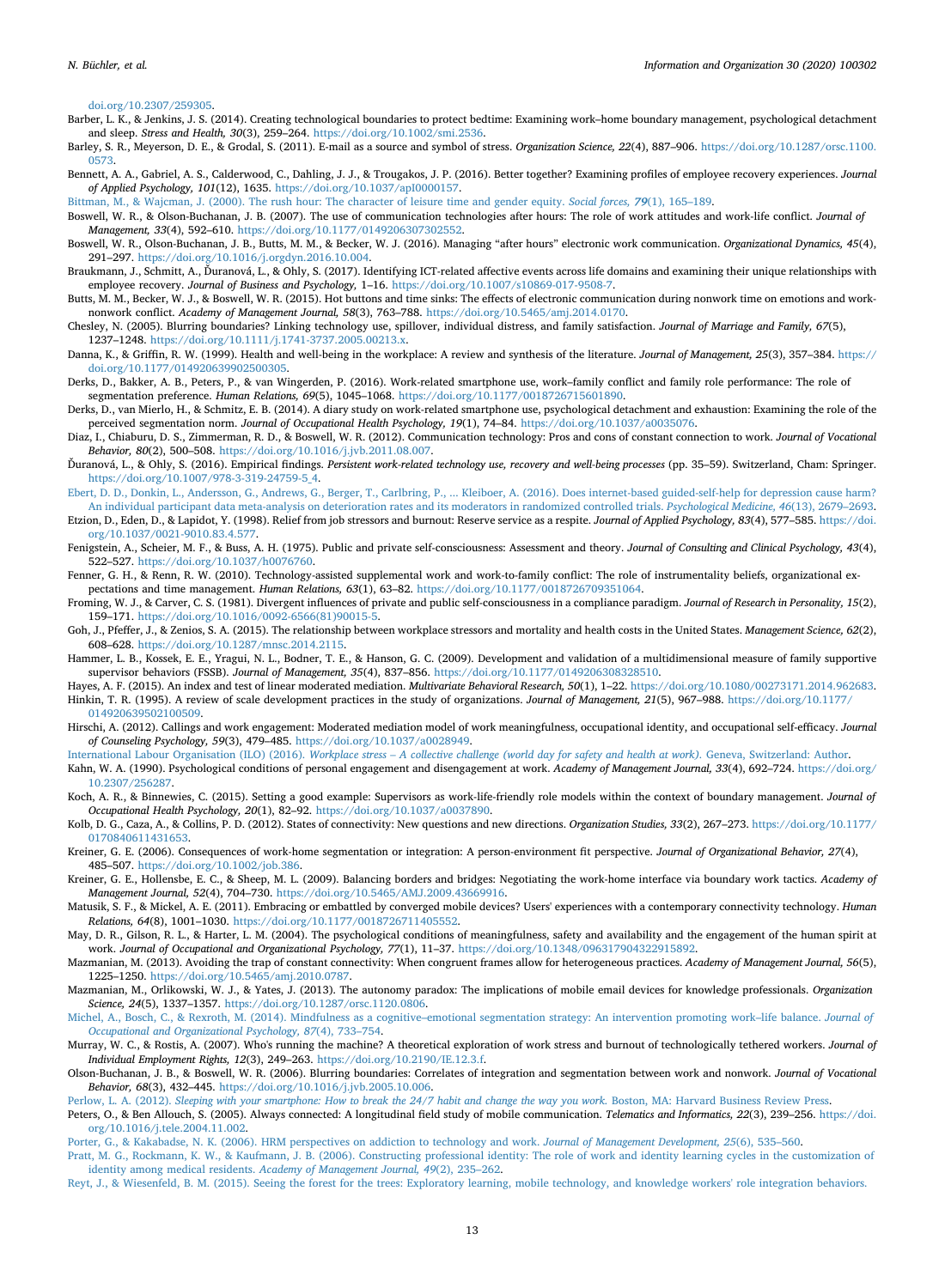#### [doi.org/10.2307/259305](https://doi.org/10.2307/259305).

- <span id="page-13-35"></span>Barber, L. K., & Jenkins, J. S. (2014). Creating technological boundaries to protect bedtime: Examining work–home boundary management, psychological detachment and sleep. *Stress and Health, 30*(3), 259–264. <https://doi.org/10.1002/smi.2536>.
- <span id="page-13-19"></span>Barley, S. R., Meyerson, D. E., & Grodal, S. (2011). E-mail as a source and symbol of stress. *Organization Science, 22*(4), 887–906. [https://doi.org/10.1287/orsc.1100.](https://doi.org/10.1287/orsc.1100.0573) [0573](https://doi.org/10.1287/orsc.1100.0573).
- <span id="page-13-38"></span>Bennett, A. A., Gabriel, A. S., Calderwood, C., Dahling, J. J., & Trougakos, J. P. (2016). Better together? Examining profiles of employee recovery experiences. *Journal of Applied Psychology, 101*(12), 1635. <https://doi.org/10.1037/apI0000157>.
- <span id="page-13-41"></span>[Bittman, M., & Wajcman, J. \(2000\). The rush hour: The character of leisure time and gender equity.](http://refhub.elsevier.com/S1471-7727(20)30026-9/rf6000) *Social forces, 79*(1), 165–189.
- <span id="page-13-8"></span>Boswell, W. R., & Olson-Buchanan, J. B. (2007). The use of communication technologies after hours: The role of work attitudes and work-life conflict. *Journal of Management, 33*(4), 592–610. <https://doi.org/10.1177/0149206307302552>.
- <span id="page-13-9"></span>Boswell, W. R., Olson-Buchanan, J. B., Butts, M. M., & Becker, W. J. (2016). Managing "after hours" electronic work communication. *Organizational Dynamics, 45*(4), 291–297. [https://doi.org/10.1016/j.orgdyn.2016.10.004.](https://doi.org/10.1016/j.orgdyn.2016.10.004)
- <span id="page-13-16"></span>Braukmann, J., Schmitt, A., Ďuranová, L., & Ohly, S. (2017). Identifying ICT-related affective events across life domains and examining their unique relationships with employee recovery. *Journal of Business and Psychology,* 1–16. <https://doi.org/10.1007/s10869-017-9508-7>.
- <span id="page-13-6"></span>Butts, M. M., Becker, W. J., & Boswell, W. R. (2015). Hot buttons and time sinks: The effects of electronic communication during nonwork time on emotions and worknonwork conflict. *Academy of Management Journal, 58*(3), 763–788. <https://doi.org/10.5465/amj.2014.0170>.
- <span id="page-13-7"></span>Chesley, N. (2005). Blurring boundaries? Linking technology use, spillover, individual distress, and family satisfaction. *Journal of Marriage and Family, 67*(5), 1237–1248. [https://doi.org/10.1111/j.1741-3737.2005.00213.x.](https://doi.org/10.1111/j.1741-3737.2005.00213.x)
- <span id="page-13-3"></span>Danna, K., & Griffin, R. W. (1999). Health and well-being in the workplace: A review and synthesis of the literature. *Journal of Management, 25*(3), 357–384. [https://](https://doi.org/10.1177/014920639902500305) [doi.org/10.1177/014920639902500305](https://doi.org/10.1177/014920639902500305).
- <span id="page-13-23"></span>Derks, D., Bakker, A. B., Peters, P., & van Wingerden, P. (2016). Work-related smartphone use, work–family conflict and family role performance: The role of segmentation preference. *Human Relations, 69*(5), 1045–1068. <https://doi.org/10.1177/0018726715601890>.
- <span id="page-13-13"></span>Derks, D., van Mierlo, H., & Schmitz, E. B. (2014). A diary study on work-related smartphone use, psychological detachment and exhaustion: Examining the role of the perceived segmentation norm. *Journal of Occupational Health Psychology, 19*(1), 74–84. <https://doi.org/10.1037/a0035076>.
- <span id="page-13-15"></span>Diaz, I., Chiaburu, D. S., Zimmerman, R. D., & Boswell, W. R. (2012). Communication technology: Pros and cons of constant connection to work. *Journal of Vocational Behavior, 80*(2), 500–508. <https://doi.org/10.1016/j.jvb.2011.08.007>.
- <span id="page-13-2"></span>Ďuranová, L., & Ohly, S. (2016). Empirical findings. *Persistent work-related technology use, recovery and well-being processes* (pp. 35–59). Switzerland, Cham: Springer. [https://doi.org/10.1007/978-3-319-24759-5\\_4](https://doi.org/10.1007/978-3-319-24759-5_4).
- <span id="page-13-40"></span>[Ebert, D. D., Donkin, L., Andersson, G., Andrews, G., Berger, T., Carlbring, P., ... Kleiboer, A. \(2016\). Does internet-based guided-self-help for depression cause harm?](http://refhub.elsevier.com/S1471-7727(20)30026-9/rf0080) [An individual participant data meta-analysis on deterioration rates and its moderators in randomized controlled trials.](http://refhub.elsevier.com/S1471-7727(20)30026-9/rf0080) *Psychological Medicine, 46*(13), 2679–2693.
- <span id="page-13-20"></span>Etzion, D., Eden, D., & Lapidot, Y. (1998). Relief from job stressors and burnout: Reserve service as a respite. *Journal of Applied Psychology, 83*(4), 577–585. [https://doi.](https://doi.org/10.1037/0021-9010.83.4.577) [org/10.1037/0021-9010.83.4.577](https://doi.org/10.1037/0021-9010.83.4.577).
- <span id="page-13-32"></span>Fenigstein, A., Scheier, M. F., & Buss, A. H. (1975). Public and private self-consciousness: Assessment and theory. *Journal of Consulting and Clinical Psychology, 43*(4), 522–527. <https://doi.org/10.1037/h0076760>.
- <span id="page-13-24"></span>Fenner, G. H., & Renn, R. W. (2010). Technology-assisted supplemental work and work-to-family conflict: The role of instrumentality beliefs, organizational expectations and time management. *Human Relations, 63*(1), 63–82. [https://doi.org/10.1177/0018726709351064.](https://doi.org/10.1177/0018726709351064)
- <span id="page-13-31"></span>Froming, W. J., & Carver, C. S. (1981). Divergent influences of private and public self-consciousness in a compliance paradigm. *Journal of Research in Personality, 15*(2), 159–171. [https://doi.org/10.1016/0092-6566\(81\)90015-5.](https://doi.org/10.1016/0092-6566(81)90015-5)
- <span id="page-13-4"></span>Goh, J., Pfeffer, J., & Zenios, S. A. (2015). The relationship between workplace stressors and mortality and health costs in the United States. *Management Science, 62*(2), 608–628. <https://doi.org/10.1287/mnsc.2014.2115>.
- <span id="page-13-28"></span>Hammer, L. B., Kossek, E. E., Yragui, N. L., Bodner, T. E., & Hanson, G. C. (2009). Development and validation of a multidimensional measure of family supportive supervisor behaviors (FSSB). *Journal of Management, 35*(4), 837–856. [https://doi.org/10.1177/0149206308328510.](https://doi.org/10.1177/0149206308328510)
- <span id="page-13-34"></span><span id="page-13-29"></span>Hayes, A. F. (2015). An index and test of linear moderated mediation. *Multivariate Behavioral Research, 50*(1), 1–22. <https://doi.org/10.1080/00273171.2014.962683>. Hinkin, T. R. (1995). A review of scale development practices in the study of organizations. *Journal of Management, 21*(5), 967–988. [https://doi.org/10.1177/](https://doi.org/10.1177/014920639502100509) [014920639502100509.](https://doi.org/10.1177/014920639502100509)
- <span id="page-13-25"></span>Hirschi, A. (2012). Callings and work engagement: Moderated mediation model of work meaningfulness, occupational identity, and occupational self-efficacy. *Journal of Counseling Psychology, 59*(3), 479–485. [https://doi.org/10.1037/a0028949.](https://doi.org/10.1037/a0028949)
- <span id="page-13-5"></span>International Labour Organisation (ILO) (2016). *[Workplace stress – A collective challenge \(world day for safety and health at work\).](http://refhub.elsevier.com/S1471-7727(20)30026-9/rf0130)* Geneva, Switzerland: Author.
- <span id="page-13-37"></span>Kahn, W. A. (1990). Psychological conditions of personal engagement and disengagement at work. *Academy of Management Journal, 33*(4), 692–724. [https://doi.org/](https://doi.org/10.2307/256287) [10.2307/256287.](https://doi.org/10.2307/256287)
- <span id="page-13-27"></span>Koch, A. R., & Binnewies, C. (2015). Setting a good example: Supervisors as work-life-friendly role models within the context of boundary management. *Journal of Occupational Health Psychology, 20*(1), 82–92. <https://doi.org/10.1037/a0037890>.
- <span id="page-13-18"></span>Kolb, D. G., Caza, A., & Collins, P. D. (2012). States of connectivity: New questions and new directions. *Organization Studies, 33*(2), 267–273. [https://doi.org/10.1177/](https://doi.org/10.1177/0170840611431653) [0170840611431653](https://doi.org/10.1177/0170840611431653).
- <span id="page-13-14"></span>Kreiner, G. E. (2006). Consequences of work-home segmentation or integration: A person-environment fit perspective. *Journal of Organizational Behavior, 27*(4), 485–507. [https://doi.org/10.1002/job.386.](https://doi.org/10.1002/job.386)
- <span id="page-13-22"></span>Kreiner, G. E., Hollensbe, E. C., & Sheep, M. L. (2009). Balancing borders and bridges: Negotiating the work-home interface via boundary work tactics. *Academy of Management Journal, 52*(4), 704–730. [https://doi.org/10.5465/AMJ.2009.43669916.](https://doi.org/10.5465/AMJ.2009.43669916)
- <span id="page-13-11"></span>Matusik, S. F., & Mickel, A. E. (2011). Embracing or embattled by converged mobile devices? Users' experiences with a contemporary connectivity technology. *Human Relations, 64*(8), 1001–1030. [https://doi.org/10.1177/0018726711405552.](https://doi.org/10.1177/0018726711405552)
- <span id="page-13-33"></span>May, D. R., Gilson, R. L., & Harter, L. M. (2004). The psychological conditions of meaningfulness, safety and availability and the engagement of the human spirit at work. *Journal of Occupational and Organizational Psychology, 77*(1), 11–37. [https://doi.org/10.1348/096317904322915892.](https://doi.org/10.1348/096317904322915892)
- <span id="page-13-12"></span>Mazmanian, M. (2013). Avoiding the trap of constant connectivity: When congruent frames allow for heterogeneous practices. *Academy of Management Journal, 56*(5), 1225–1250. <https://doi.org/10.5465/amj.2010.0787>.
- <span id="page-13-1"></span>Mazmanian, M., Orlikowski, W. J., & Yates, J. (2013). The autonomy paradox: The implications of mobile email devices for knowledge professionals. *Organization Science, 24*(5), 1337–1357. <https://doi.org/10.1287/orsc.1120.0806>.
- <span id="page-13-39"></span>[Michel, A., Bosch, C., & Rexroth, M. \(2014\). Mindfulness as a cognitive–emotional segmentation strategy: An intervention promoting work–life balance.](http://refhub.elsevier.com/S1471-7727(20)30026-9/rf0180) *Journal of [Occupational and Organizational Psychology, 87](http://refhub.elsevier.com/S1471-7727(20)30026-9/rf0180)*(4), 733–754.
- <span id="page-13-26"></span>Murray, W. C., & Rostis, A. (2007). Who's running the machine? A theoretical exploration of work stress and burnout of technologically tethered workers. *Journal of Individual Employment Rights, 12*(3), 249–263. [https://doi.org/10.2190/IE.12.3.f.](https://doi.org/10.2190/IE.12.3.f)
- <span id="page-13-10"></span>Olson-Buchanan, J. B., & Boswell, W. R. (2006). Blurring boundaries: Correlates of integration and segmentation between work and nonwork. *Journal of Vocational Behavior, 68*(3), 432–445. <https://doi.org/10.1016/j.jvb.2005.10.006>.
- <span id="page-13-0"></span>Perlow, L. A. (2012). *[Sleeping with your smartphone: How to break the 24/7 habit and change the way you work.](http://refhub.elsevier.com/S1471-7727(20)30026-9/rf0200)* Boston, MA: Harvard Business Review Press.
- <span id="page-13-30"></span>Peters, O., & Ben Allouch, S. (2005). Always connected: A longitudinal field study of mobile communication. *Telematics and Informatics, 22*(3), 239–256. [https://doi.](https://doi.org/10.1016/j.tele.2004.11.002) [org/10.1016/j.tele.2004.11.002](https://doi.org/10.1016/j.tele.2004.11.002).
- <span id="page-13-17"></span>[Porter, G., & Kakabadse, N. K. \(2006\). HRM perspectives on addiction to technology and work.](http://refhub.elsevier.com/S1471-7727(20)30026-9/rf0210) *Journal of Management Development, 25*(6), 535–560.
- <span id="page-13-36"></span>[Pratt, M. G., Rockmann, K. W., & Kaufmann, J. B. \(2006\). Constructing professional identity: The role of work and identity learning cycles in the customization of](http://refhub.elsevier.com/S1471-7727(20)30026-9/rf0215) identity among medical residents. *[Academy of Management Journal, 49](http://refhub.elsevier.com/S1471-7727(20)30026-9/rf0215)*(2), 235–262.
- <span id="page-13-21"></span>[Reyt, J., & Wiesenfeld, B. M. \(2015\). Seeing the forest for the trees: Exploratory learning, mobile technology, and knowledge workers' role integration behaviors.](http://refhub.elsevier.com/S1471-7727(20)30026-9/rf0220)